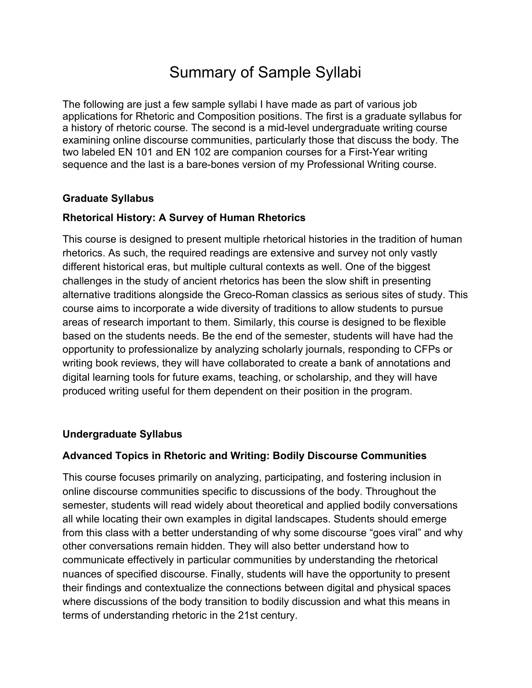# Summary of Sample Syllabi

The following are just a few sample syllabi I have made as part of various job applications for Rhetoric and Composition positions. The first is a graduate syllabus for a history of rhetoric course. The second is a mid-level undergraduate writing course examining online discourse communities, particularly those that discuss the body. The two labeled EN 101 and EN 102 are companion courses for a First-Year writing sequence and the last is a bare-bones version of my Professional Writing course.

### **Graduate Syllabus**

### **Rhetorical History: A Survey of Human Rhetorics**

This course is designed to present multiple rhetorical histories in the tradition of human rhetorics. As such, the required readings are extensive and survey not only vastly different historical eras, but multiple cultural contexts as well. One of the biggest challenges in the study of ancient rhetorics has been the slow shift in presenting alternative traditions alongside the Greco-Roman classics as serious sites of study. This course aims to incorporate a wide diversity of traditions to allow students to pursue areas of research important to them. Similarly, this course is designed to be flexible based on the students needs. Be the end of the semester, students will have had the opportunity to professionalize by analyzing scholarly journals, responding to CFPs or writing book reviews, they will have collaborated to create a bank of annotations and digital learning tools for future exams, teaching, or scholarship, and they will have produced writing useful for them dependent on their position in the program.

### **Undergraduate Syllabus**

### **Advanced Topics in Rhetoric and Writing: Bodily Discourse Communities**

This course focuses primarily on analyzing, participating, and fostering inclusion in online discourse communities specific to discussions of the body. Throughout the semester, students will read widely about theoretical and applied bodily conversations all while locating their own examples in digital landscapes. Students should emerge from this class with a better understanding of why some discourse "goes viral" and why other conversations remain hidden. They will also better understand how to communicate effectively in particular communities by understanding the rhetorical nuances of specified discourse. Finally, students will have the opportunity to present their findings and contextualize the connections between digital and physical spaces where discussions of the body transition to bodily discussion and what this means in terms of understanding rhetoric in the 21st century.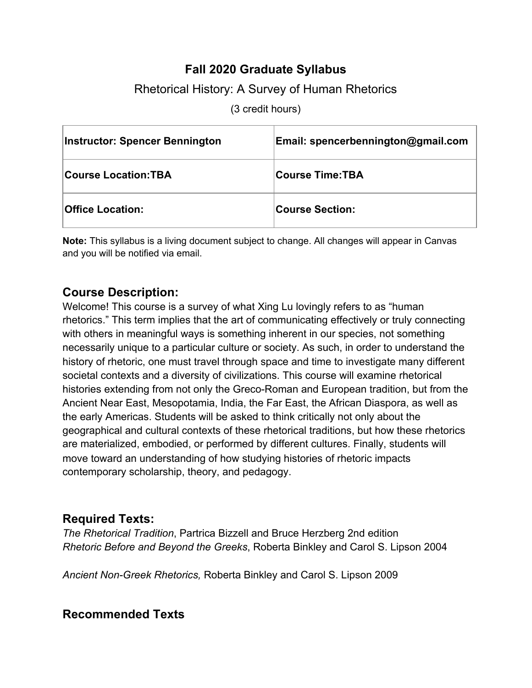# **Fall 2020 Graduate Syllabus**

# Rhetorical History: A Survey of Human Rhetorics

(3 credit hours)

| <b>Instructor: Spencer Bennington</b> | Email: spencerbennington@gmail.com |
|---------------------------------------|------------------------------------|
| <b>Course Location:TBA</b>            | <b>Course Time:TBA</b>             |
| <b>Office Location:</b>               | <b>Course Section:</b>             |

**Note:** This syllabus is a living document subject to change. All changes will appear in Canvas and you will be notified via email.

### **Course Description:**

Welcome! This course is a survey of what Xing Lu lovingly refers to as "human rhetorics." This term implies that the art of communicating effectively or truly connecting with others in meaningful ways is something inherent in our species, not something necessarily unique to a particular culture or society. As such, in order to understand the history of rhetoric, one must travel through space and time to investigate many different societal contexts and a diversity of civilizations. This course will examine rhetorical histories extending from not only the Greco-Roman and European tradition, but from the Ancient Near East, Mesopotamia, India, the Far East, the African Diaspora, as well as the early Americas. Students will be asked to think critically not only about the geographical and cultural contexts of these rhetorical traditions, but how these rhetorics are materialized, embodied, or performed by different cultures. Finally, students will move toward an understanding of how studying histories of rhetoric impacts contemporary scholarship, theory, and pedagogy.

### **Required Texts:**

*The Rhetorical Tradition*, Partrica Bizzell and Bruce Herzberg 2nd edition *Rhetoric Before and Beyond the Greeks*, Roberta Binkley and Carol S. Lipson 2004

*Ancient Non-Greek Rhetorics,* Roberta Binkley and Carol S. Lipson 2009

# **Recommended Texts**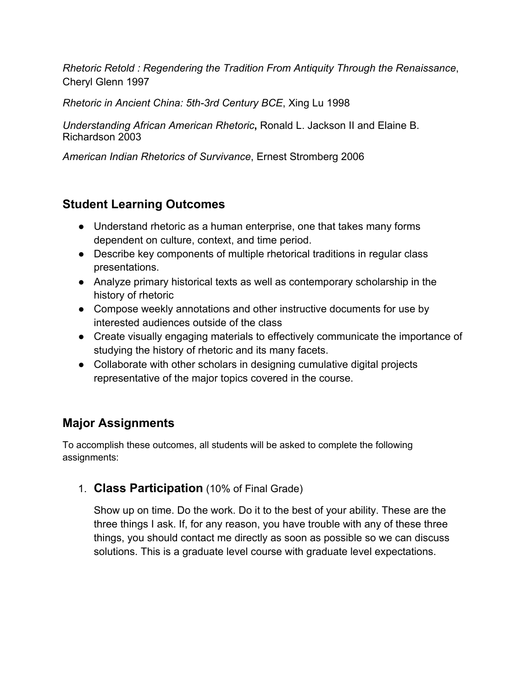*Rhetoric Retold : Regendering the Tradition From Antiquity Through the Renaissance*, Cheryl Glenn 1997

*Rhetoric in Ancient China: 5th-3rd Century BCE*, Xing Lu 1998

*Understanding African American Rhetoric***,** Ronald L. Jackson II and Elaine B. Richardson 2003

*American Indian Rhetorics of Survivance*, Ernest Stromberg 2006

# **Student Learning Outcomes**

- Understand rhetoric as a human enterprise, one that takes many forms dependent on culture, context, and time period.
- Describe key components of multiple rhetorical traditions in regular class presentations.
- Analyze primary historical texts as well as contemporary scholarship in the history of rhetoric
- Compose weekly annotations and other instructive documents for use by interested audiences outside of the class
- Create visually engaging materials to effectively communicate the importance of studying the history of rhetoric and its many facets.
- Collaborate with other scholars in designing cumulative digital projects representative of the major topics covered in the course.

# **Major Assignments**

To accomplish these outcomes, all students will be asked to complete the following assignments:

1. **Class Participation** (10% of Final Grade)

Show up on time. Do the work. Do it to the best of your ability. These are the three things I ask. If, for any reason, you have trouble with any of these three things, you should contact me directly as soon as possible so we can discuss solutions. This is a graduate level course with graduate level expectations.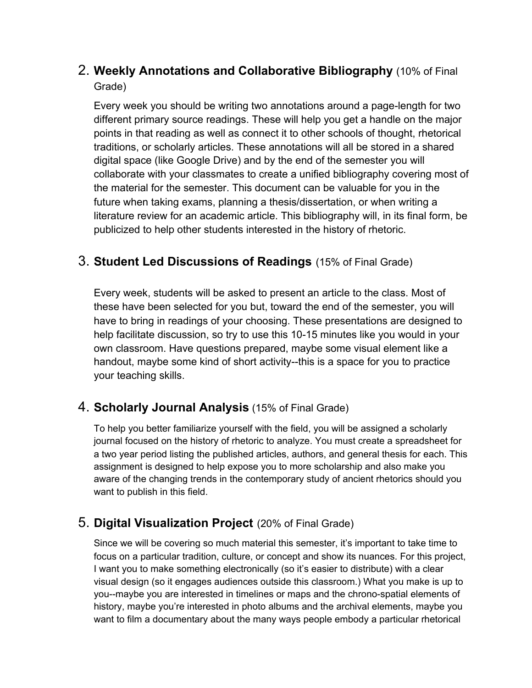# 2. **Weekly Annotations and Collaborative Bibliography** (10% of Final Grade)

Every week you should be writing two annotations around a page-length for two different primary source readings. These will help you get a handle on the major points in that reading as well as connect it to other schools of thought, rhetorical traditions, or scholarly articles. These annotations will all be stored in a shared digital space (like Google Drive) and by the end of the semester you will collaborate with your classmates to create a unified bibliography covering most of the material for the semester. This document can be valuable for you in the future when taking exams, planning a thesis/dissertation, or when writing a literature review for an academic article. This bibliography will, in its final form, be publicized to help other students interested in the history of rhetoric.

### 3. **Student Led Discussions of Readings** (15% of Final Grade)

Every week, students will be asked to present an article to the class. Most of these have been selected for you but, toward the end of the semester, you will have to bring in readings of your choosing. These presentations are designed to help facilitate discussion, so try to use this 10-15 minutes like you would in your own classroom. Have questions prepared, maybe some visual element like a handout, maybe some kind of short activity--this is a space for you to practice your teaching skills.

# 4. **Scholarly Journal Analysis** (15% of Final Grade)

To help you better familiarize yourself with the field, you will be assigned a scholarly journal focused on the history of rhetoric to analyze. You must create a spreadsheet for a two year period listing the published articles, authors, and general thesis for each. This assignment is designed to help expose you to more scholarship and also make you aware of the changing trends in the contemporary study of ancient rhetorics should you want to publish in this field.

# 5. **Digital Visualization Project** (20% of Final Grade)

Since we will be covering so much material this semester, it's important to take time to focus on a particular tradition, culture, or concept and show its nuances. For this project, I want you to make something electronically (so it's easier to distribute) with a clear visual design (so it engages audiences outside this classroom.) What you make is up to you--maybe you are interested in timelines or maps and the chrono-spatial elements of history, maybe you're interested in photo albums and the archival elements, maybe you want to film a documentary about the many ways people embody a particular rhetorical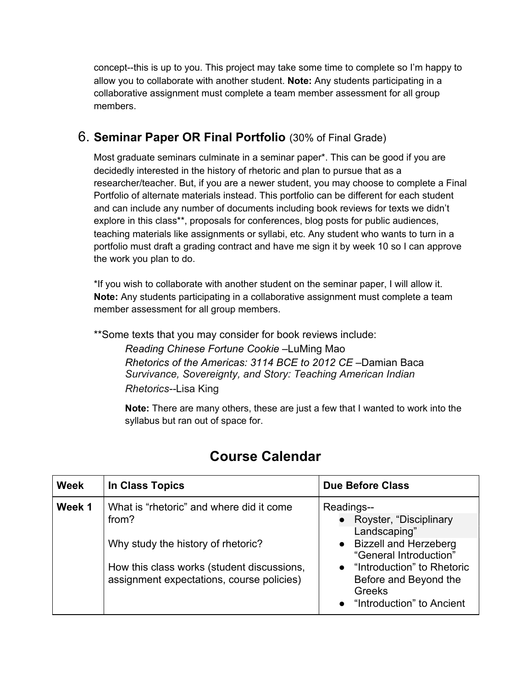concept--this is up to you. This project may take some time to complete so I'm happy to allow you to collaborate with another student. **Note:** Any students participating in a collaborative assignment must complete a team member assessment for all group members.

### 6. **Seminar Paper OR Final Portfolio** (30% of Final Grade)

Most graduate seminars culminate in a seminar paper\*. This can be good if you are decidedly interested in the history of rhetoric and plan to pursue that as a researcher/teacher. But, if you are a newer student, you may choose to complete a Final Portfolio of alternate materials instead. This portfolio can be different for each student and can include any number of documents including book reviews for texts we didn't explore in this class\*\*, proposals for conferences, blog posts for public audiences, teaching materials like assignments or syllabi, etc. Any student who wants to turn in a portfolio must draft a grading contract and have me sign it by week 10 so I can approve the work you plan to do.

\*If you wish to collaborate with another student on the seminar paper, I will allow it. **Note:** Any students participating in a collaborative assignment must complete a team member assessment for all group members.

\*\*Some texts that you may consider for book reviews include:

*Reading Chinese Fortune Cookie* –LuMing Mao *Rhetorics of the Americas: 3114 BCE to 2012 CE –Damian Baca Survivance, Sovereignty, and Story: Teaching American Indian Rhetorics--*Lisa King

**Note:** There are many others, these are just a few that I wanted to work into the syllabus but ran out of space for.

| <b>Week</b> | In Class Topics                                                                                                                                                                    | <b>Due Before Class</b>                                                                                                                                                                                   |
|-------------|------------------------------------------------------------------------------------------------------------------------------------------------------------------------------------|-----------------------------------------------------------------------------------------------------------------------------------------------------------------------------------------------------------|
| Week 1      | What is "rhetoric" and where did it come<br>from?<br>Why study the history of rhetoric?<br>How this class works (student discussions,<br>assignment expectations, course policies) | Readings--<br>Royster, "Disciplinary<br>Landscaping"<br>• Bizzell and Herzeberg<br>"General Introduction"<br>• "Introduction" to Rhetoric<br>Before and Beyond the<br>Greeks<br>"Introduction" to Ancient |

# **Course Calendar**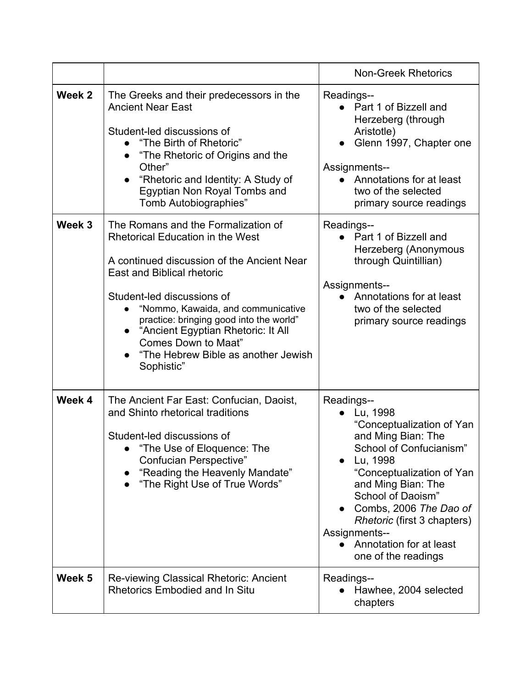|        |                                                                                                                                                                                                                                                                                                                                                                                                                   | <b>Non-Greek Rhetorics</b>                                                                                                                                                                                                                                                                                                               |
|--------|-------------------------------------------------------------------------------------------------------------------------------------------------------------------------------------------------------------------------------------------------------------------------------------------------------------------------------------------------------------------------------------------------------------------|------------------------------------------------------------------------------------------------------------------------------------------------------------------------------------------------------------------------------------------------------------------------------------------------------------------------------------------|
|        |                                                                                                                                                                                                                                                                                                                                                                                                                   |                                                                                                                                                                                                                                                                                                                                          |
| Week 2 | The Greeks and their predecessors in the<br><b>Ancient Near East</b><br>Student-led discussions of<br>• "The Birth of Rhetoric"<br>"The Rhetoric of Origins and the<br>Other"<br>"Rhetoric and Identity: A Study of<br>$\bullet$<br>Egyptian Non Royal Tombs and<br>Tomb Autobiographies"                                                                                                                         | Readings--<br>• Part 1 of Bizzell and<br>Herzeberg (through<br>Aristotle)<br>Glenn 1997, Chapter one<br>Assignments--<br>• Annotations for at least<br>two of the selected<br>primary source readings                                                                                                                                    |
| Week 3 | The Romans and the Formalization of<br><b>Rhetorical Education in the West</b><br>A continued discussion of the Ancient Near<br>East and Biblical rhetoric<br>Student-led discussions of<br>"Nommo, Kawaida, and communicative<br>$\bullet$<br>practice: bringing good into the world"<br>• "Ancient Egyptian Rhetoric: It All<br><b>Comes Down to Maat"</b><br>"The Hebrew Bible as another Jewish<br>Sophistic" | Readings--<br>• Part 1 of Bizzell and<br>Herzeberg (Anonymous<br>through Quintillian)<br><b>Assignments--</b><br>Annotations for at least<br>$\bullet$<br>two of the selected<br>primary source readings                                                                                                                                 |
| Week 4 | The Ancient Far East: Confucian, Daoist,<br>and Shinto rhetorical traditions<br>Student-led discussions of<br>• "The Use of Eloquence: The<br>Confucian Perspective"<br>"Reading the Heavenly Mandate"<br>"The Right Use of True Words"                                                                                                                                                                           | Readings--<br>Lu, 1998<br>"Conceptualization of Yan<br>and Ming Bian: The<br>School of Confucianism"<br>Lu, 1998<br>"Conceptualization of Yan<br>and Ming Bian: The<br>School of Daoism"<br>Combs, 2006 The Dao of<br><i>Rhetoric</i> (first 3 chapters)<br>Assignments--<br>Annotation for at least<br>$\bullet$<br>one of the readings |
| Week 5 | Re-viewing Classical Rhetoric: Ancient<br><b>Rhetorics Embodied and In Situ</b>                                                                                                                                                                                                                                                                                                                                   | Readings--<br>Hawhee, 2004 selected<br>chapters                                                                                                                                                                                                                                                                                          |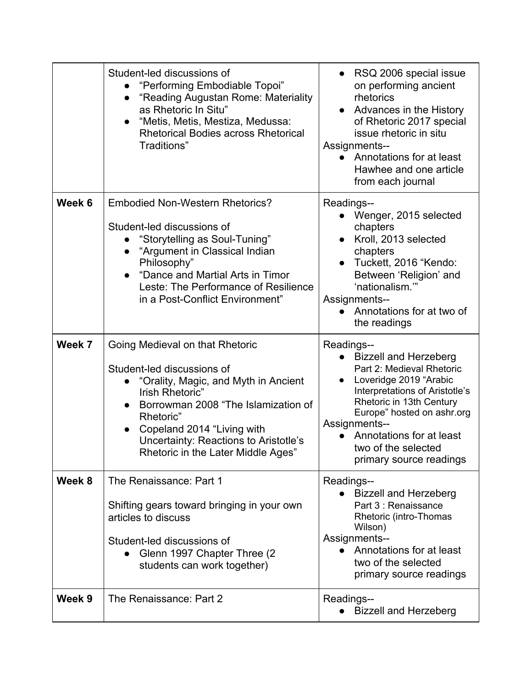|        | Student-led discussions of<br>"Performing Embodiable Topoi"<br>"Reading Augustan Rome: Materiality<br>$\bullet$<br>as Rhetoric In Situ"<br>"Metis, Metis, Mestiza, Medussa:<br>$\bullet$<br><b>Rhetorical Bodies across Rhetorical</b><br>Traditions"                                                         | RSQ 2006 special issue<br>$\bullet$<br>on performing ancient<br>rhetorics<br>Advances in the History<br>of Rhetoric 2017 special<br>issue rhetoric in situ<br>Assignments--<br>Annotations for at least<br>$\bullet$<br>Hawhee and one article<br>from each journal                          |
|--------|---------------------------------------------------------------------------------------------------------------------------------------------------------------------------------------------------------------------------------------------------------------------------------------------------------------|----------------------------------------------------------------------------------------------------------------------------------------------------------------------------------------------------------------------------------------------------------------------------------------------|
| Week 6 | <b>Embodied Non-Western Rhetorics?</b><br>Student-led discussions of<br>"Storytelling as Soul-Tuning"<br>"Argument in Classical Indian<br>Philosophy"<br>"Dance and Martial Arts in Timor<br>Leste: The Performance of Resilience<br>in a Post-Conflict Environment"                                          | Readings--<br>Wenger, 2015 selected<br>chapters<br>Kroll, 2013 selected<br>chapters<br>Tuckett, 2016 "Kendo:<br>Between 'Religion' and<br>'nationalism."<br>Assignments--<br>Annotations for at two of<br>the readings                                                                       |
| Week 7 | Going Medieval on that Rhetoric<br>Student-led discussions of<br>"Orality, Magic, and Myth in Ancient<br>Irish Rhetoric"<br>Borrowman 2008 "The Islamization of<br>Rhetoric"<br>Copeland 2014 "Living with<br>$\bullet$<br><b>Uncertainty: Reactions to Aristotle's</b><br>Rhetoric in the Later Middle Ages" | Readings--<br><b>Bizzell and Herzeberg</b><br>Part 2: Medieval Rhetoric<br>Loveridge 2019 "Arabic<br>Interpretations of Aristotle's<br>Rhetoric in 13th Century<br>Europe" hosted on ashr.org<br>Assignments--<br>Annotations for at least<br>two of the selected<br>primary source readings |
| Week 8 | The Renaissance: Part 1<br>Shifting gears toward bringing in your own<br>articles to discuss<br>Student-led discussions of<br>Glenn 1997 Chapter Three (2)<br>students can work together)                                                                                                                     | Readings--<br><b>Bizzell and Herzeberg</b><br>Part 3 : Renaissance<br>Rhetoric (intro-Thomas<br>Wilson)<br>Assignments--<br>Annotations for at least<br>two of the selected<br>primary source readings                                                                                       |
| Week 9 | The Renaissance: Part 2                                                                                                                                                                                                                                                                                       | Readings--<br><b>Bizzell and Herzeberg</b>                                                                                                                                                                                                                                                   |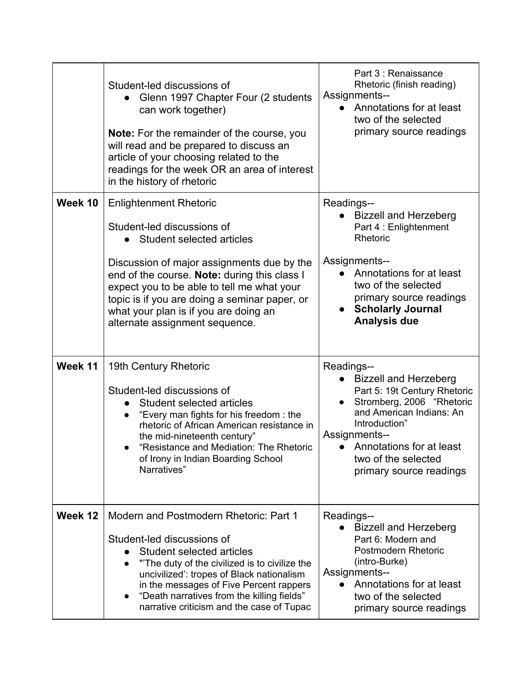|         | Student-led discussions of<br>Glenn 1997 Chapter Four (2 students<br>can work together)<br>Note: For the remainder of the course, you<br>will read and be prepared to discuss an<br>article of your choosing related to the<br>readings for the week OR an area of interest<br>in the history of rhetoric                                                          | Part 3 : Renaissance<br>Rhetoric (finish reading)<br>Assignments--<br>Annotations for at least<br>two of the selected<br>primary source readings                                                                                                           |
|---------|--------------------------------------------------------------------------------------------------------------------------------------------------------------------------------------------------------------------------------------------------------------------------------------------------------------------------------------------------------------------|------------------------------------------------------------------------------------------------------------------------------------------------------------------------------------------------------------------------------------------------------------|
| Week 10 | <b>Enlightenment Rhetoric</b><br>Student-led discussions of<br>• Student selected articles<br>Discussion of major assignments due by the<br>end of the course. Note: during this class I<br>expect you to be able to tell me what your<br>topic is if you are doing a seminar paper, or<br>what your plan is if you are doing an<br>alternate assignment sequence. | Readings--<br><b>Bizzell and Herzeberg</b><br>Part 4 : Enlightenment<br>Rhetoric<br>Assignments--<br>Annotations for at least<br>$\bullet$<br>two of the selected<br>primary source readings<br><b>Scholarly Journal</b><br><b>Analysis due</b>            |
| Week 11 | 19th Century Rhetoric<br>Student-led discussions of<br>Student selected articles<br>"Every man fights for his freedom: the<br>rhetoric of African American resistance in<br>the mid-nineteenth century"<br>"Resistance and Mediation: The Rhetoric<br>of Irony in Indian Boarding School<br>Narratives"                                                            | Readings--<br><b>Bizzell and Herzeberg</b><br>Part 5: 19t Century Rhetoric<br>Stromberg, 2006 "Rhetoric<br>and American Indians: An<br>Introduction"<br><b>Assignments--</b><br>Annotations for at least<br>two of the selected<br>primary source readings |
| Week 12 | Modern and Postmodern Rhetoric: Part 1<br>Student-led discussions of<br>Student selected articles<br>"The duty of the civilized is to civilize the<br>$\bullet$<br>uncivilized': tropes of Black nationalism<br>in the messages of Five Percent rappers<br>"Death narratives from the killing fields"<br>$\bullet$<br>narrative criticism and the case of Tupac    | Readings--<br><b>Bizzell and Herzeberg</b><br>Part 6: Modern and<br>Postmodern Rhetoric<br>(intro-Burke)<br><b>Assignments--</b><br>Annotations for at least<br>$\bullet$<br>two of the selected<br>primary source readings                                |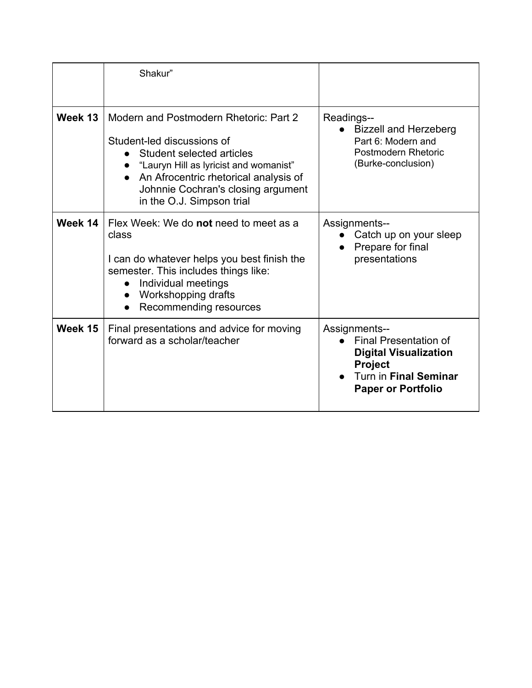|         | Shakur"                                                                                                                                                                                                                                                   |                                                                                                                                                |
|---------|-----------------------------------------------------------------------------------------------------------------------------------------------------------------------------------------------------------------------------------------------------------|------------------------------------------------------------------------------------------------------------------------------------------------|
| Week 13 | Modern and Postmodern Rhetoric: Part 2<br>Student-led discussions of<br>• Student selected articles<br>"Lauryn Hill as lyricist and womanist"<br>An Afrocentric rhetorical analysis of<br>Johnnie Cochran's closing argument<br>in the O.J. Simpson trial | Readings--<br><b>Bizzell and Herzeberg</b><br>Part 6: Modern and<br>Postmodern Rhetoric<br>(Burke-conclusion)                                  |
| Week 14 | Flex Week: We do not need to meet as a<br>class<br>I can do whatever helps you best finish the<br>semester. This includes things like:<br>Individual meetings<br>Workshopping drafts<br>Recommending resources                                            | <b>Assignments--</b><br>Catch up on your sleep<br>Prepare for final<br>presentations                                                           |
| Week 15 | Final presentations and advice for moving<br>forward as a scholar/teacher                                                                                                                                                                                 | Assignments--<br><b>Final Presentation of</b><br><b>Digital Visualization</b><br>Project<br>Turn in Final Seminar<br><b>Paper or Portfolio</b> |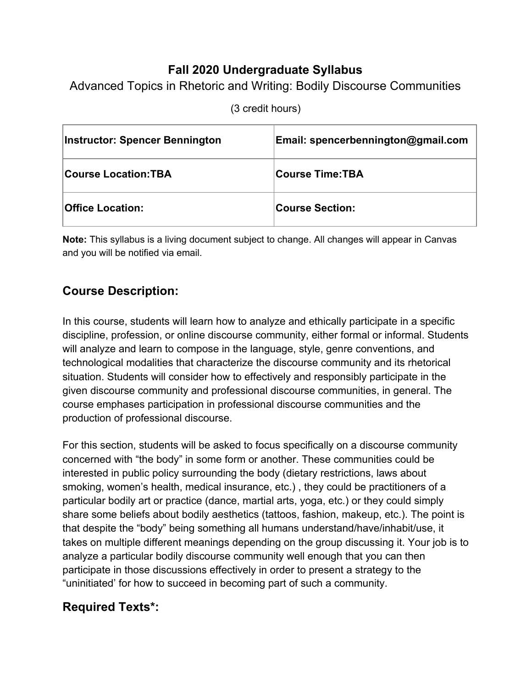# **Fall 2020 Undergraduate Syllabus**

Advanced Topics in Rhetoric and Writing: Bodily Discourse Communities

| <b>Instructor: Spencer Bennington</b> | Email: spencerbennington@gmail.com |
|---------------------------------------|------------------------------------|
| <b>Course Location:TBA</b>            | ∣Course Time:TBA                   |
| <b>Office Location:</b>               | <b>Course Section:</b>             |

(3 credit hours)

**Note:** This syllabus is a living document subject to change. All changes will appear in Canvas and you will be notified via email.

# **Course Description:**

In this course, students will learn how to analyze and ethically participate in a specific discipline, profession, or online discourse community, either formal or informal. Students will analyze and learn to compose in the language, style, genre conventions, and technological modalities that characterize the discourse community and its rhetorical situation. Students will consider how to effectively and responsibly participate in the given discourse community and professional discourse communities, in general. The course emphases participation in professional discourse communities and the production of professional discourse.

For this section, students will be asked to focus specifically on a discourse community concerned with "the body" in some form or another. These communities could be interested in public policy surrounding the body (dietary restrictions, laws about smoking, women's health, medical insurance, etc.) , they could be practitioners of a particular bodily art or practice (dance, martial arts, yoga, etc.) or they could simply share some beliefs about bodily aesthetics (tattoos, fashion, makeup, etc.). The point is that despite the "body" being something all humans understand/have/inhabit/use, it takes on multiple different meanings depending on the group discussing it. Your job is to analyze a particular bodily discourse community well enough that you can then participate in those discussions effectively in order to present a strategy to the "uninitiated' for how to succeed in becoming part of such a community.

# **Required Texts\*:**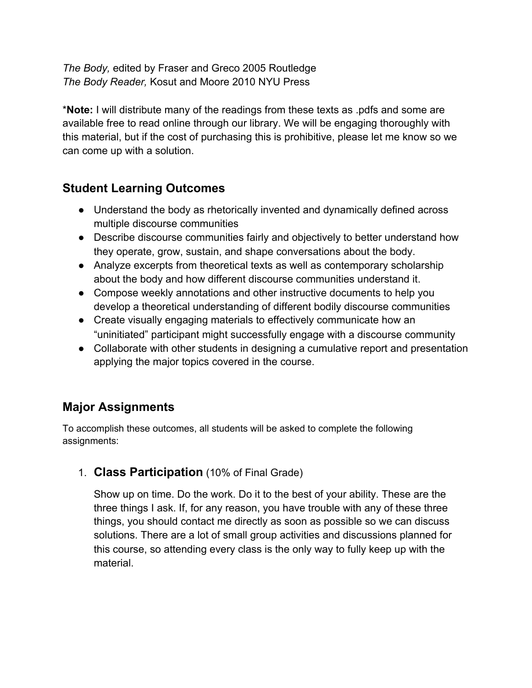*The Body,* edited by Fraser and Greco 2005 Routledge *The Body Reader,* Kosut and Moore 2010 NYU Press

\***Note:** I will distribute many of the readings from these texts as .pdfs and some are available free to read online through our library. We will be engaging thoroughly with this material, but if the cost of purchasing this is prohibitive, please let me know so we can come up with a solution.

# **Student Learning Outcomes**

- Understand the body as rhetorically invented and dynamically defined across multiple discourse communities
- Describe discourse communities fairly and objectively to better understand how they operate, grow, sustain, and shape conversations about the body.
- Analyze excerpts from theoretical texts as well as contemporary scholarship about the body and how different discourse communities understand it.
- Compose weekly annotations and other instructive documents to help you develop a theoretical understanding of different bodily discourse communities
- Create visually engaging materials to effectively communicate how an "uninitiated" participant might successfully engage with a discourse community
- Collaborate with other students in designing a cumulative report and presentation applying the major topics covered in the course.

# **Major Assignments**

To accomplish these outcomes, all students will be asked to complete the following assignments:

# 1. **Class Participation** (10% of Final Grade)

Show up on time. Do the work. Do it to the best of your ability. These are the three things I ask. If, for any reason, you have trouble with any of these three things, you should contact me directly as soon as possible so we can discuss solutions. There are a lot of small group activities and discussions planned for this course, so attending every class is the only way to fully keep up with the material.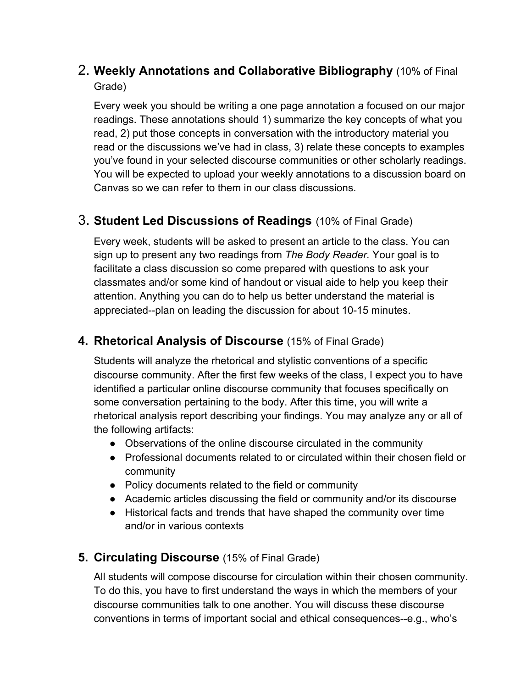# 2. **Weekly Annotations and Collaborative Bibliography** (10% of Final Grade)

Every week you should be writing a one page annotation a focused on our major readings. These annotations should 1) summarize the key concepts of what you read, 2) put those concepts in conversation with the introductory material you read or the discussions we've had in class, 3) relate these concepts to examples you've found in your selected discourse communities or other scholarly readings. You will be expected to upload your weekly annotations to a discussion board on Canvas so we can refer to them in our class discussions.

# 3. **Student Led Discussions of Readings** (10% of Final Grade)

Every week, students will be asked to present an article to the class. You can sign up to present any two readings from *The Body Reader.* Your goal is to facilitate a class discussion so come prepared with questions to ask your classmates and/or some kind of handout or visual aide to help you keep their attention. Anything you can do to help us better understand the material is appreciated--plan on leading the discussion for about 10-15 minutes.

### **4. Rhetorical Analysis of Discourse** (15% of Final Grade)

Students will analyze the rhetorical and stylistic conventions of a specific discourse community. After the first few weeks of the class, I expect you to have identified a particular online discourse community that focuses specifically on some conversation pertaining to the body. After this time, you will write a rhetorical analysis report describing your findings. You may analyze any or all of the following artifacts:

- Observations of the online discourse circulated in the community
- Professional documents related to or circulated within their chosen field or community
- Policy documents related to the field or community
- Academic articles discussing the field or community and/or its discourse
- Historical facts and trends that have shaped the community over time and/or in various contexts

# **5. Circulating Discourse** (15% of Final Grade)

All students will compose discourse for circulation within their chosen community. To do this, you have to first understand the ways in which the members of your discourse communities talk to one another. You will discuss these discourse conventions in terms of important social and ethical consequences--e.g., who's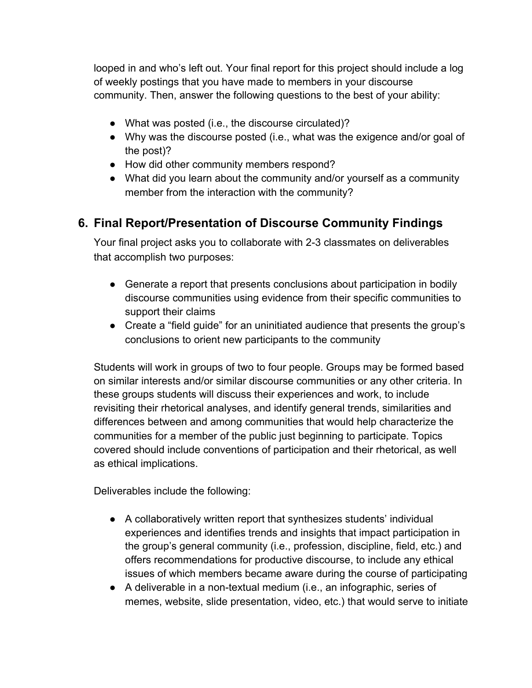looped in and who's left out. Your final report for this project should include a log of weekly postings that you have made to members in your discourse community. Then, answer the following questions to the best of your ability:

- What was posted (i.e., the discourse circulated)?
- Why was the discourse posted (i.e., what was the exigence and/or goal of the post)?
- How did other community members respond?
- What did you learn about the community and/or yourself as a community member from the interaction with the community?

# **6. Final Report/Presentation of Discourse Community Findings**

Your final project asks you to collaborate with 2-3 classmates on deliverables that accomplish two purposes:

- Generate a report that presents conclusions about participation in bodily discourse communities using evidence from their specific communities to support their claims
- Create a "field guide" for an uninitiated audience that presents the group's conclusions to orient new participants to the community

Students will work in groups of two to four people. Groups may be formed based on similar interests and/or similar discourse communities or any other criteria. In these groups students will discuss their experiences and work, to include revisiting their rhetorical analyses, and identify general trends, similarities and differences between and among communities that would help characterize the communities for a member of the public just beginning to participate. Topics covered should include conventions of participation and their rhetorical, as well as ethical implications.

Deliverables include the following:

- A collaboratively written report that synthesizes students' individual experiences and identifies trends and insights that impact participation in the group's general community (i.e., profession, discipline, field, etc.) and offers recommendations for productive discourse, to include any ethical issues of which members became aware during the course of participating
- A deliverable in a non-textual medium (i.e., an infographic, series of memes, website, slide presentation, video, etc.) that would serve to initiate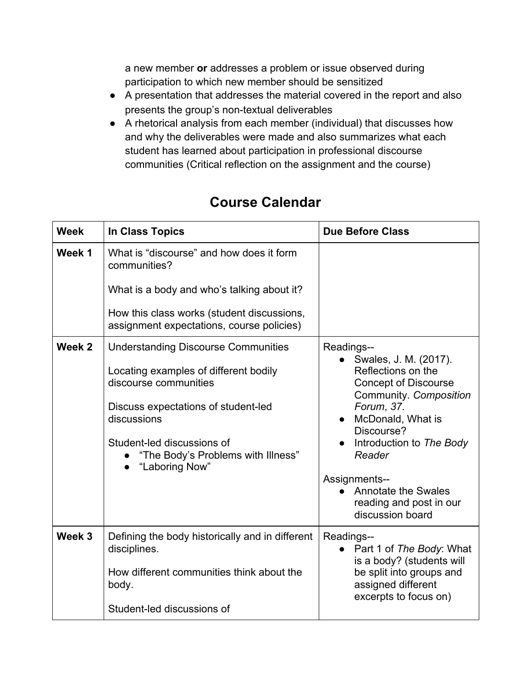a new member **or** addresses a problem or issue observed during participation to which new member should be sensitized

- A presentation that addresses the material covered in the report and also presents the group's non-textual deliverables
- A rhetorical analysis from each member (individual) that discusses how and why the deliverables were made and also summarizes what each student has learned about participation in professional discourse communities (Critical reflection on the assignment and the course)

| <b>Week</b> | <b>In Class Topics</b>                                                                                                                                                                                                                                   | <b>Due Before Class</b>                                                                                                                                                                                                                                                                          |
|-------------|----------------------------------------------------------------------------------------------------------------------------------------------------------------------------------------------------------------------------------------------------------|--------------------------------------------------------------------------------------------------------------------------------------------------------------------------------------------------------------------------------------------------------------------------------------------------|
| Week 1      | What is "discourse" and how does it form<br>communities?                                                                                                                                                                                                 |                                                                                                                                                                                                                                                                                                  |
|             | What is a body and who's talking about it?                                                                                                                                                                                                               |                                                                                                                                                                                                                                                                                                  |
|             | How this class works (student discussions,<br>assignment expectations, course policies)                                                                                                                                                                  |                                                                                                                                                                                                                                                                                                  |
| Week 2      | <b>Understanding Discourse Communities</b><br>Locating examples of different bodily<br>discourse communities<br>Discuss expectations of student-led<br>discussions<br>Student-led discussions of<br>"The Body's Problems with Illness"<br>"Laboring Now" | Readings--<br>Swales, J. M. (2017).<br>$\bullet$<br>Reflections on the<br><b>Concept of Discourse</b><br>Community. Composition<br>Forum, 37.<br>McDonald, What is<br>Discourse?<br>Introduction to The Body<br>Reader<br>Assignments--<br><b>Annotate the Swales</b><br>reading and post in our |
|             |                                                                                                                                                                                                                                                          | discussion board                                                                                                                                                                                                                                                                                 |
| Week 3      | Defining the body historically and in different<br>disciplines.<br>How different communities think about the<br>body.<br>Student-led discussions of                                                                                                      | Readings--<br>Part 1 of The Body: What<br>is a body? (students will<br>be split into groups and<br>assigned different<br>excerpts to focus on)                                                                                                                                                   |

# **Course Calendar**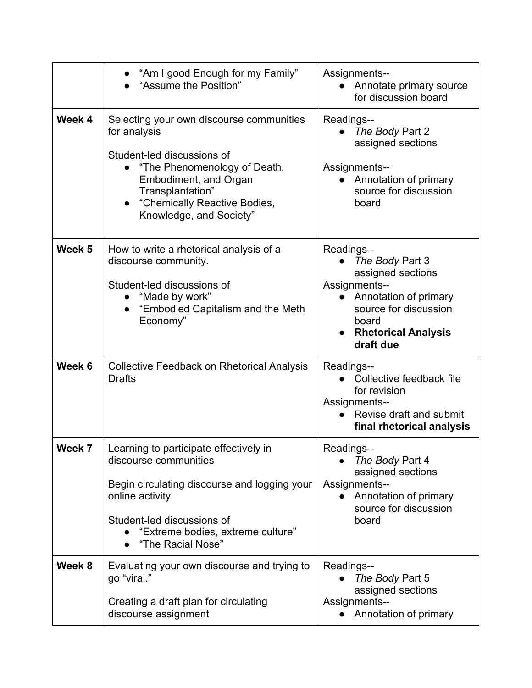|                   | "Am I good Enough for my Family"<br>"Assume the Position"                                                                                                                                                                      | Assignments--<br>Annotate primary source<br>for discussion board                                                                                                          |
|-------------------|--------------------------------------------------------------------------------------------------------------------------------------------------------------------------------------------------------------------------------|---------------------------------------------------------------------------------------------------------------------------------------------------------------------------|
| Week 4            | Selecting your own discourse communities<br>for analysis<br>Student-led discussions of<br>"The Phenomenology of Death,<br>Embodiment, and Organ<br>Transplantation"<br>"Chemically Reactive Bodies,<br>Knowledge, and Society" | Readings--<br>The Body Part 2<br>assigned sections<br>Assignments--<br>Annotation of primary<br>source for discussion<br>board                                            |
| Week <sub>5</sub> | How to write a rhetorical analysis of a<br>discourse community.<br>Student-led discussions of<br>"Made by work"<br>"Embodied Capitalism and the Meth<br>Economy"                                                               | Readings--<br>The Body Part 3<br>assigned sections<br>Assignments--<br>Annotation of primary<br>source for discussion<br>board<br><b>Rhetorical Analysis</b><br>draft due |
| Week 6            | <b>Collective Feedback on Rhetorical Analysis</b><br><b>Drafts</b>                                                                                                                                                             | Readings--<br>Collective feedback file<br>for revision<br>Assignments--<br>Revise draft and submit<br>$\bullet$<br>final rhetorical analysis                              |
| Week 7            | Learning to participate effectively in<br>discourse communities<br>Begin circulating discourse and logging your<br>online activity<br>Student-led discussions of<br>"Extreme bodies, extreme culture"<br>"The Racial Nose"     | Readings--<br>The Body Part 4<br>assigned sections<br>Assignments--<br>Annotation of primary<br>$\bullet$<br>source for discussion<br>board                               |
| Week 8            | Evaluating your own discourse and trying to<br>go "viral."<br>Creating a draft plan for circulating<br>discourse assignment                                                                                                    | Readings--<br>The Body Part 5<br>assigned sections<br>Assignments--<br>Annotation of primary                                                                              |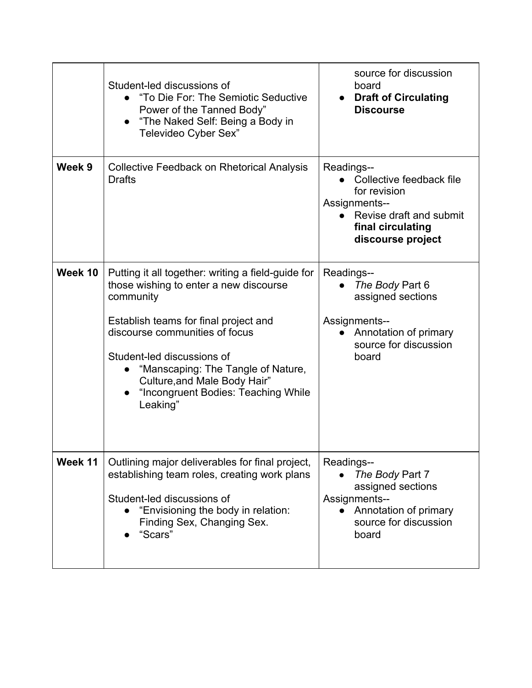|         | Student-led discussions of<br>"To Die For: The Semiotic Seductive<br>Power of the Tanned Body"<br>"The Naked Self: Being a Body in<br>$\bullet$<br>Televideo Cyber Sex"                                                                                                                                                                                  | source for discussion<br>board<br><b>Draft of Circulating</b><br><b>Discourse</b>                                                                   |
|---------|----------------------------------------------------------------------------------------------------------------------------------------------------------------------------------------------------------------------------------------------------------------------------------------------------------------------------------------------------------|-----------------------------------------------------------------------------------------------------------------------------------------------------|
| Week 9  | <b>Collective Feedback on Rhetorical Analysis</b><br><b>Drafts</b>                                                                                                                                                                                                                                                                                       | Readings--<br>Collective feedback file<br>for revision<br><b>Assignments--</b><br>Revise draft and submit<br>final circulating<br>discourse project |
| Week 10 | Putting it all together: writing a field-guide for<br>those wishing to enter a new discourse<br>community<br>Establish teams for final project and<br>discourse communities of focus<br>Student-led discussions of<br>"Manscaping: The Tangle of Nature,<br>Culture, and Male Body Hair"<br>"Incongruent Bodies: Teaching While<br>$\bullet$<br>Leaking" | Readings--<br>The Body Part 6<br>assigned sections<br>Assignments--<br>Annotation of primary<br>source for discussion<br>board                      |
| Week 11 | Outlining major deliverables for final project,<br>establishing team roles, creating work plans<br>Student-led discussions of<br>"Envisioning the body in relation:<br>Finding Sex, Changing Sex.<br>"Scars"                                                                                                                                             | Readings--<br>The Body Part 7<br>assigned sections<br>Assignments--<br>Annotation of primary<br>$\bullet$<br>source for discussion<br>board         |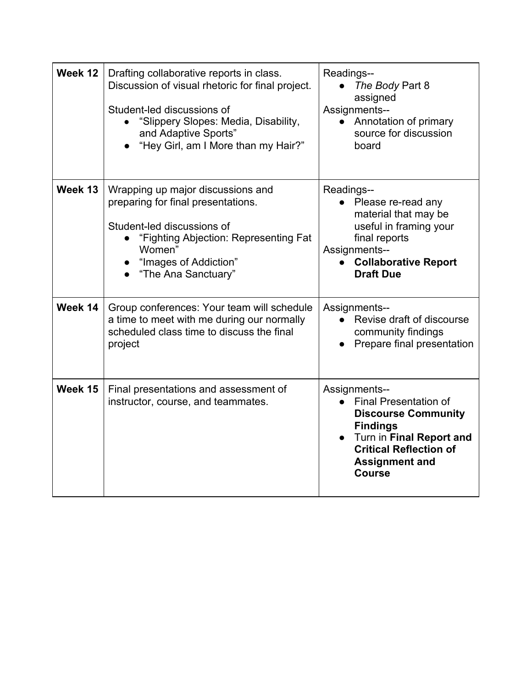| Week 12 | Drafting collaborative reports in class.<br>Discussion of visual rhetoric for final project.<br>Student-led discussions of<br>"Slippery Slopes: Media, Disability,<br>and Adaptive Sports"<br>"Hey Girl, am I More than my Hair?" | Readings--<br>The Body Part 8<br>assigned<br>Assignments--<br>Annotation of primary<br>$\bullet$<br>source for discussion<br>board                                                                    |
|---------|-----------------------------------------------------------------------------------------------------------------------------------------------------------------------------------------------------------------------------------|-------------------------------------------------------------------------------------------------------------------------------------------------------------------------------------------------------|
| Week 13 | Wrapping up major discussions and<br>preparing for final presentations.<br>Student-led discussions of<br>"Fighting Abjection: Representing Fat<br>Women"<br>• "Images of Addiction"<br>"The Ana Sanctuary"                        | Readings--<br>Please re-read any<br>material that may be<br>useful in framing your<br>final reports<br>Assignments--<br><b>Collaborative Report</b><br>$\bullet$<br><b>Draft Due</b>                  |
| Week 14 | Group conferences: Your team will schedule<br>a time to meet with me during our normally<br>scheduled class time to discuss the final<br>project                                                                                  | Assignments--<br>Revise draft of discourse<br>community findings<br>Prepare final presentation                                                                                                        |
| Week 15 | Final presentations and assessment of<br>instructor, course, and teammates.                                                                                                                                                       | Assignments--<br><b>Final Presentation of</b><br><b>Discourse Community</b><br><b>Findings</b><br>Turn in Final Report and<br><b>Critical Reflection of</b><br><b>Assignment and</b><br><b>Course</b> |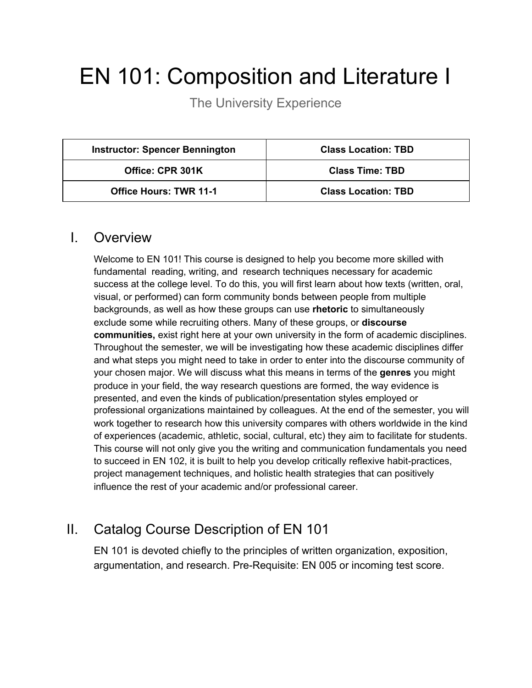# EN 101: Composition and Literature I

The University Experience

| <b>Instructor: Spencer Bennington</b> | <b>Class Location: TBD</b> |
|---------------------------------------|----------------------------|
| Office: CPR 301K                      | <b>Class Time: TBD</b>     |
| <b>Office Hours: TWR 11-1</b>         | <b>Class Location: TBD</b> |

### I. Overview

Welcome to EN 101! This course is designed to help you become more skilled with fundamental reading, writing, and research techniques necessary for academic success at the college level. To do this, you will first learn about how texts (written, oral, visual, or performed) can form community bonds between people from multiple backgrounds, as well as how these groups can use **rhetoric** to simultaneously exclude some while recruiting others. Many of these groups, or **discourse communities,** exist right here at your own university in the form of academic disciplines. Throughout the semester, we will be investigating how these academic disciplines differ and what steps you might need to take in order to enter into the discourse community of your chosen major. We will discuss what this means in terms of the **genres** you might produce in your field, the way research questions are formed, the way evidence is presented, and even the kinds of publication/presentation styles employed or professional organizations maintained by colleagues. At the end of the semester, you will work together to research how this university compares with others worldwide in the kind of experiences (academic, athletic, social, cultural, etc) they aim to facilitate for students. This course will not only give you the writing and communication fundamentals you need to succeed in EN 102, it is built to help you develop critically reflexive habit-practices, project management techniques, and holistic health strategies that can positively influence the rest of your academic and/or professional career.

# II. Catalog Course Description of EN 101

EN 101 is devoted chiefly to the principles of written organization, exposition, argumentation, and research. Pre-Requisite: EN 005 or incoming test score.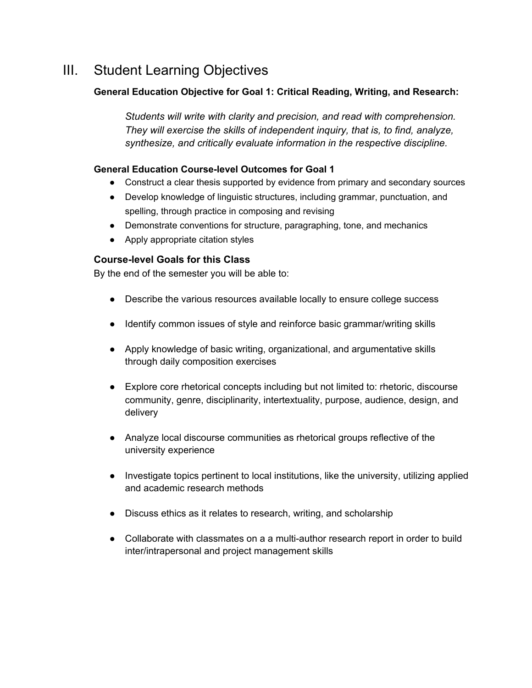# III. Student Learning Objectives

### **General Education Objective for Goal 1: Critical Reading, Writing, and Research:**

*Students will write with clarity and precision, and read with comprehension. They will exercise the skills of independent inquiry, that is, to find, analyze, synthesize, and critically evaluate information in the respective discipline.*

#### **General Education Course-level Outcomes for Goal 1**

- Construct a clear thesis supported by evidence from primary and secondary sources
- Develop knowledge of linguistic structures, including grammar, punctuation, and spelling, through practice in composing and revising
- Demonstrate conventions for structure, paragraphing, tone, and mechanics
- Apply appropriate citation styles

#### **Course-level Goals for this Class**

By the end of the semester you will be able to:

- Describe the various resources available locally to ensure college success
- Identify common issues of style and reinforce basic grammar/writing skills
- Apply knowledge of basic writing, organizational, and argumentative skills through daily composition exercises
- Explore core rhetorical concepts including but not limited to: rhetoric, discourse community, genre, disciplinarity, intertextuality, purpose, audience, design, and delivery
- Analyze local discourse communities as rhetorical groups reflective of the university experience
- Investigate topics pertinent to local institutions, like the university, utilizing applied and academic research methods
- Discuss ethics as it relates to research, writing, and scholarship
- Collaborate with classmates on a a multi-author research report in order to build inter/intrapersonal and project management skills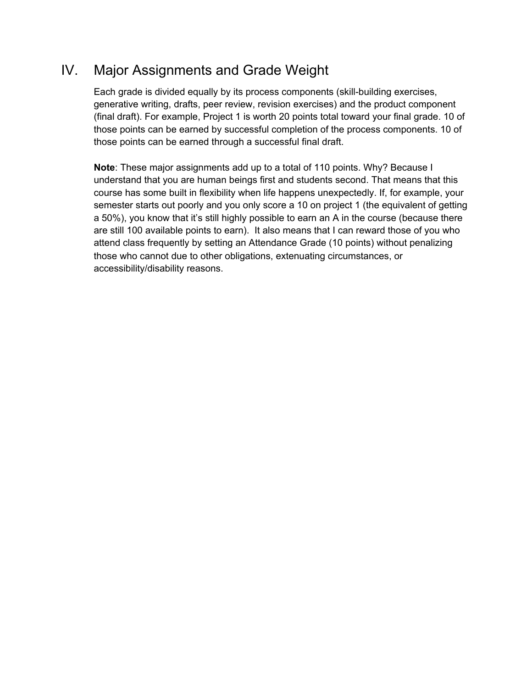# IV. Major Assignments and Grade Weight

Each grade is divided equally by its process components (skill-building exercises, generative writing, drafts, peer review, revision exercises) and the product component (final draft). For example, Project 1 is worth 20 points total toward your final grade. 10 of those points can be earned by successful completion of the process components. 10 of those points can be earned through a successful final draft.

**Note**: These major assignments add up to a total of 110 points. Why? Because I understand that you are human beings first and students second. That means that this course has some built in flexibility when life happens unexpectedly. If, for example, your semester starts out poorly and you only score a 10 on project 1 (the equivalent of getting a 50%), you know that it's still highly possible to earn an A in the course (because there are still 100 available points to earn). It also means that I can reward those of you who attend class frequently by setting an Attendance Grade (10 points) without penalizing those who cannot due to other obligations, extenuating circumstances, or accessibility/disability reasons.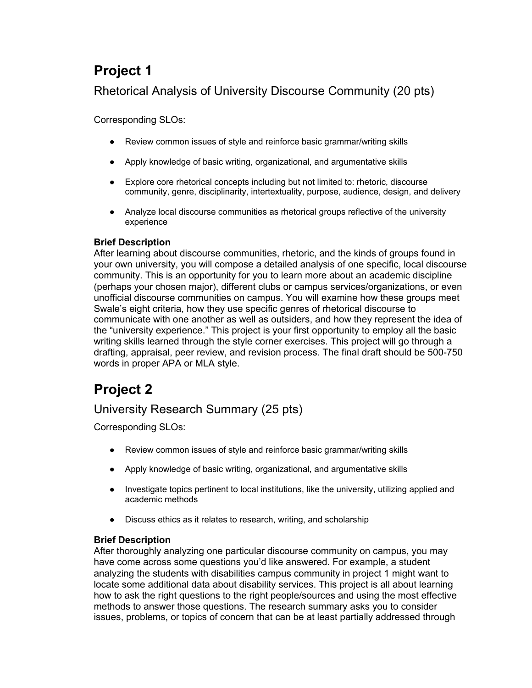# **Project 1**

# Rhetorical Analysis of University Discourse Community (20 pts)

Corresponding SLOs:

- Review common issues of style and reinforce basic grammar/writing skills
- Apply knowledge of basic writing, organizational, and argumentative skills
- Explore core rhetorical concepts including but not limited to: rhetoric, discourse community, genre, disciplinarity, intertextuality, purpose, audience, design, and delivery
- Analyze local discourse communities as rhetorical groups reflective of the university experience

### **Brief Description**

After learning about discourse communities, rhetoric, and the kinds of groups found in your own university, you will compose a detailed analysis of one specific, local discourse community. This is an opportunity for you to learn more about an academic discipline (perhaps your chosen major), different clubs or campus services/organizations, or even unofficial discourse communities on campus. You will examine how these groups meet Swale's eight criteria, how they use specific genres of rhetorical discourse to communicate with one another as well as outsiders, and how they represent the idea of the "university experience." This project is your first opportunity to employ all the basic writing skills learned through the style corner exercises. This project will go through a drafting, appraisal, peer review, and revision process. The final draft should be 500-750 words in proper APA or MLA style.

# **Project 2**

# University Research Summary (25 pts)

Corresponding SLOs:

- Review common issues of style and reinforce basic grammar/writing skills
- Apply knowledge of basic writing, organizational, and argumentative skills
- Investigate topics pertinent to local institutions, like the university, utilizing applied and academic methods
- Discuss ethics as it relates to research, writing, and scholarship

### **Brief Description**

After thoroughly analyzing one particular discourse community on campus, you may have come across some questions you'd like answered. For example, a student analyzing the students with disabilities campus community in project 1 might want to locate some additional data about disability services. This project is all about learning how to ask the right questions to the right people/sources and using the most effective methods to answer those questions. The research summary asks you to consider issues, problems, or topics of concern that can be at least partially addressed through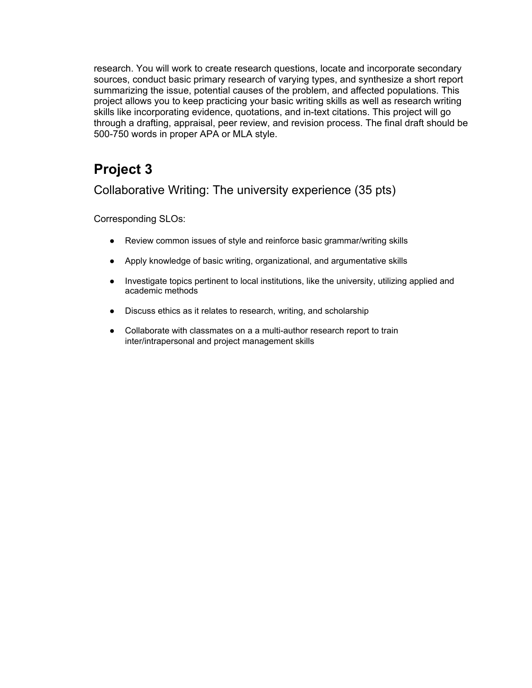research. You will work to create research questions, locate and incorporate secondary sources, conduct basic primary research of varying types, and synthesize a short report summarizing the issue, potential causes of the problem, and affected populations. This project allows you to keep practicing your basic writing skills as well as research writing skills like incorporating evidence, quotations, and in-text citations. This project will go through a drafting, appraisal, peer review, and revision process. The final draft should be 500-750 words in proper APA or MLA style.

# **Project 3**

Collaborative Writing: The university experience (35 pts)

Corresponding SLOs:

- Review common issues of style and reinforce basic grammar/writing skills
- Apply knowledge of basic writing, organizational, and argumentative skills
- Investigate topics pertinent to local institutions, like the university, utilizing applied and academic methods
- Discuss ethics as it relates to research, writing, and scholarship
- Collaborate with classmates on a a multi-author research report to train inter/intrapersonal and project management skills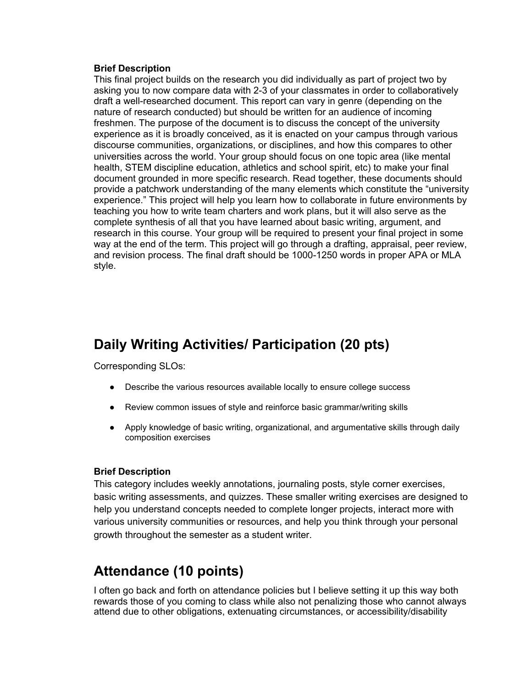#### **Brief Description**

This final project builds on the research you did individually as part of project two by asking you to now compare data with 2-3 of your classmates in order to collaboratively draft a well-researched document. This report can vary in genre (depending on the nature of research conducted) but should be written for an audience of incoming freshmen. The purpose of the document is to discuss the concept of the university experience as it is broadly conceived, as it is enacted on your campus through various discourse communities, organizations, or disciplines, and how this compares to other universities across the world. Your group should focus on one topic area (like mental health, STEM discipline education, athletics and school spirit, etc) to make your final document grounded in more specific research. Read together, these documents should provide a patchwork understanding of the many elements which constitute the "university experience." This project will help you learn how to collaborate in future environments by teaching you how to write team charters and work plans, but it will also serve as the complete synthesis of all that you have learned about basic writing, argument, and research in this course. Your group will be required to present your final project in some way at the end of the term. This project will go through a drafting, appraisal, peer review, and revision process. The final draft should be 1000-1250 words in proper APA or MLA style.

# **Daily Writing Activities/ Participation (20 pts)**

Corresponding SLOs:

- Describe the various resources available locally to ensure college success
- Review common issues of style and reinforce basic grammar/writing skills
- Apply knowledge of basic writing, organizational, and argumentative skills through daily composition exercises

#### **Brief Description**

This category includes weekly annotations, journaling posts, style corner exercises, basic writing assessments, and quizzes. These smaller writing exercises are designed to help you understand concepts needed to complete longer projects, interact more with various university communities or resources, and help you think through your personal growth throughout the semester as a student writer.

# **Attendance (10 points)**

I often go back and forth on attendance policies but I believe setting it up this way both rewards those of you coming to class while also not penalizing those who cannot always attend due to other obligations, extenuating circumstances, or accessibility/disability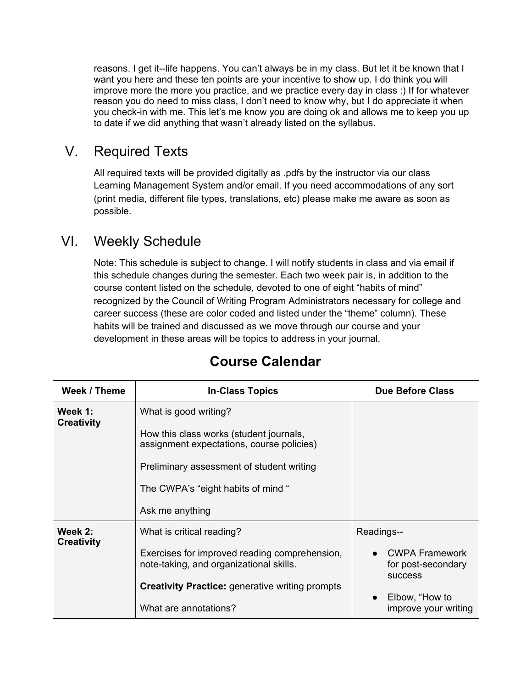reasons. I get it--life happens. You can't always be in my class. But let it be known that I want you here and these ten points are your incentive to show up. I do think you will improve more the more you practice, and we practice every day in class :) If for whatever reason you do need to miss class, I don't need to know why, but I do appreciate it when you check-in with me. This let's me know you are doing ok and allows me to keep you up to date if we did anything that wasn't already listed on the syllabus.

# V. Required Texts

All required texts will be provided digitally as .pdfs by the instructor via our class Learning Management System and/or email. If you need accommodations of any sort (print media, different file types, translations, etc) please make me aware as soon as possible.

# VI. Weekly Schedule

Note: This schedule is subject to change. I will notify students in class and via email if this schedule changes during the semester. Each two week pair is, in addition to the course content listed on the schedule, devoted to one of eight "habits of mind" recognized by the Council of Writing Program Administrators necessary for college and career success (these are color coded and listed under the "theme" column). These habits will be trained and discussed as we move through our course and your development in these areas will be topics to address in your journal.

| Week / Theme                 | <b>In-Class Topics</b>                                                                   | <b>Due Before Class</b>                                       |
|------------------------------|------------------------------------------------------------------------------------------|---------------------------------------------------------------|
| Week 1:<br><b>Creativity</b> | What is good writing?                                                                    |                                                               |
|                              | How this class works (student journals,<br>assignment expectations, course policies)     |                                                               |
|                              | Preliminary assessment of student writing                                                |                                                               |
|                              | The CWPA's "eight habits of mind"                                                        |                                                               |
|                              | Ask me anything                                                                          |                                                               |
| Week 2:<br><b>Creativity</b> | What is critical reading?                                                                | Readings--                                                    |
|                              | Exercises for improved reading comprehension,<br>note-taking, and organizational skills. | <b>CWPA Framework</b><br>for post-secondary<br><b>SUCCESS</b> |
|                              | <b>Creativity Practice:</b> generative writing prompts                                   |                                                               |
|                              | What are annotations?                                                                    | Elbow, "How to<br>$\bullet$<br>improve your writing           |

# **Course Calendar**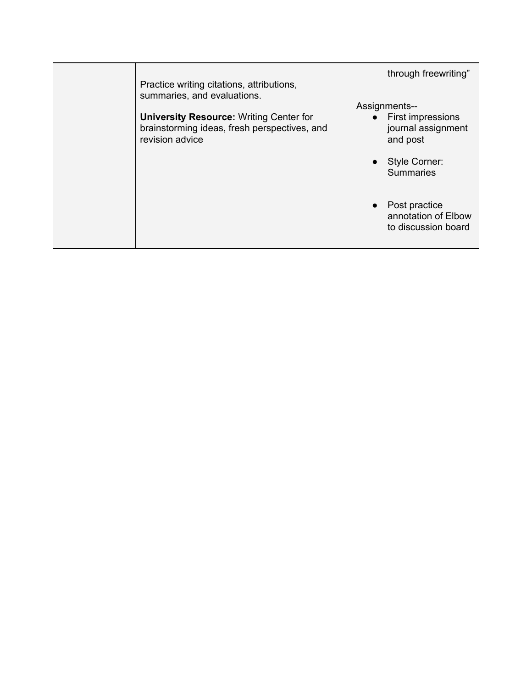| Practice writing citations, attributions,<br>summaries, and evaluations.                                          | through freewriting"                                                   |
|-------------------------------------------------------------------------------------------------------------------|------------------------------------------------------------------------|
| <b>University Resource: Writing Center for</b><br>brainstorming ideas, fresh perspectives, and<br>revision advice | Assignments--<br>• First impressions<br>journal assignment<br>and post |
|                                                                                                                   | • Style Corner:<br><b>Summaries</b>                                    |
|                                                                                                                   | Post practice<br>annotation of Elbow<br>to discussion board            |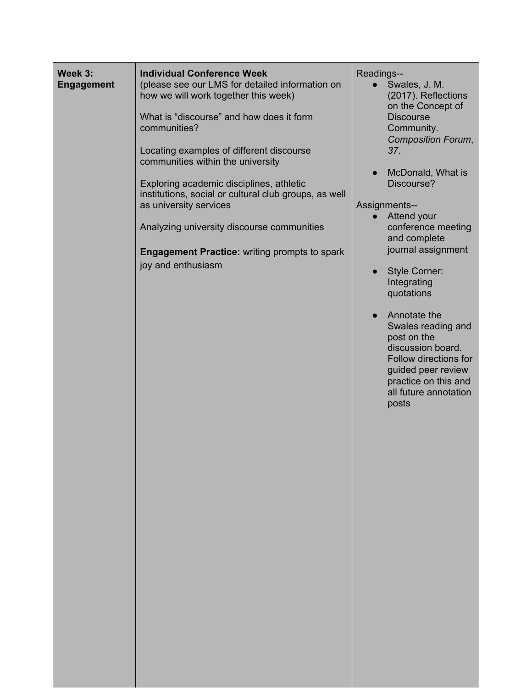| Week 3:<br><b>Engagement</b> | <b>Individual Conference Week</b><br>(please see our LMS for detailed information on<br>how we will work together this week)<br>What is "discourse" and how does it form<br>communities?<br>Locating examples of different discourse<br>communities within the university<br>Exploring academic disciplines, athletic<br>institutions, social or cultural club groups, as well<br>as university services<br>Analyzing university discourse communities<br><b>Engagement Practice: writing prompts to spark</b><br>joy and enthusiasm | Readings--<br>Swales, J. M.<br>(2017). Reflections<br>on the Concept of<br><b>Discourse</b><br>Community.<br><b>Composition Forum,</b><br>37.<br>McDonald, What is<br>Discourse?<br>Assignments--<br>Attend your<br>$\bullet$<br>conference meeting<br>and complete<br>journal assignment<br><b>Style Corner:</b><br>Integrating<br>quotations<br>Annotate the<br>$\bullet$<br>Swales reading and<br>post on the<br>discussion board.<br>Follow directions for<br>guided peer review<br>practice on this and<br>all future annotation<br>posts |
|------------------------------|--------------------------------------------------------------------------------------------------------------------------------------------------------------------------------------------------------------------------------------------------------------------------------------------------------------------------------------------------------------------------------------------------------------------------------------------------------------------------------------------------------------------------------------|------------------------------------------------------------------------------------------------------------------------------------------------------------------------------------------------------------------------------------------------------------------------------------------------------------------------------------------------------------------------------------------------------------------------------------------------------------------------------------------------------------------------------------------------|
|                              |                                                                                                                                                                                                                                                                                                                                                                                                                                                                                                                                      |                                                                                                                                                                                                                                                                                                                                                                                                                                                                                                                                                |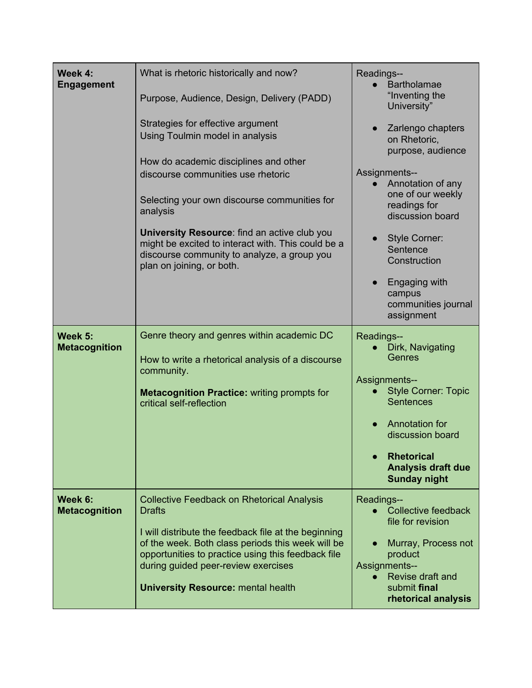| Week 4:<br><b>Engagement</b>    | What is rhetoric historically and now?<br>Purpose, Audience, Design, Delivery (PADD)<br>Strategies for effective argument<br>Using Toulmin model in analysis                                                                                                                                                              | Readings--<br><b>Bartholamae</b><br>"Inventing the<br>University"<br>Zarlengo chapters<br>on Rhetoric,<br>purpose, audience                                                                                                                           |
|---------------------------------|---------------------------------------------------------------------------------------------------------------------------------------------------------------------------------------------------------------------------------------------------------------------------------------------------------------------------|-------------------------------------------------------------------------------------------------------------------------------------------------------------------------------------------------------------------------------------------------------|
|                                 | How do academic disciplines and other<br>discourse communities use rhetoric<br>Selecting your own discourse communities for<br>analysis<br>University Resource: find an active club you<br>might be excited to interact with. This could be a<br>discourse community to analyze, a group you                              | Assignments--<br>Annotation of any<br>$\bullet$<br>one of our weekly<br>readings for<br>discussion board<br><b>Style Corner:</b><br>Sentence                                                                                                          |
|                                 | plan on joining, or both.                                                                                                                                                                                                                                                                                                 | Construction<br>Engaging with<br>$\bullet$<br>campus<br>communities journal<br>assignment                                                                                                                                                             |
| Week 5:<br><b>Metacognition</b> | Genre theory and genres within academic DC<br>How to write a rhetorical analysis of a discourse<br>community.<br><b>Metacognition Practice: writing prompts for</b><br>critical self-reflection                                                                                                                           | Readings--<br>Dirk, Navigating<br><b>Genres</b><br><b>Assignments--</b><br><b>Style Corner: Topic</b><br><b>Sentences</b><br>Annotation for<br>discussion board<br><b>Rhetorical</b><br>$\bullet$<br><b>Analysis draft due</b><br><b>Sunday night</b> |
| Week 6:<br><b>Metacognition</b> | <b>Collective Feedback on Rhetorical Analysis</b><br><b>Drafts</b><br>I will distribute the feedback file at the beginning<br>of the week. Both class periods this week will be<br>opportunities to practice using this feedback file<br>during guided peer-review exercises<br><b>University Resource: mental health</b> | Readings--<br><b>Collective feedback</b><br>file for revision<br>Murray, Process not<br>$\bullet$<br>product<br>Assignments--<br>Revise draft and<br>$\bullet$<br>submit final<br>rhetorical analysis                                                 |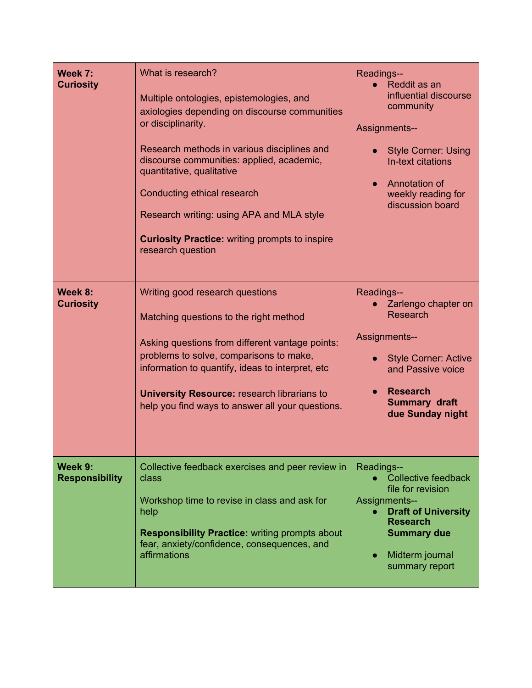| Week 7:<br><b>Curiosity</b>      | What is research?<br>Multiple ontologies, epistemologies, and<br>axiologies depending on discourse communities<br>or disciplinarity.<br>Research methods in various disciplines and<br>discourse communities: applied, academic,<br>quantitative, qualitative<br>Conducting ethical research<br>Research writing: using APA and MLA style<br><b>Curiosity Practice:</b> writing prompts to inspire<br>research question | Readings--<br>Reddit as an<br>influential discourse<br>community<br>Assignments--<br><b>Style Corner: Using</b><br>In-text citations<br>Annotation of<br>$\bullet$<br>weekly reading for<br>discussion board |
|----------------------------------|-------------------------------------------------------------------------------------------------------------------------------------------------------------------------------------------------------------------------------------------------------------------------------------------------------------------------------------------------------------------------------------------------------------------------|--------------------------------------------------------------------------------------------------------------------------------------------------------------------------------------------------------------|
| Week 8:<br><b>Curiosity</b>      | Writing good research questions<br>Matching questions to the right method<br>Asking questions from different vantage points:<br>problems to solve, comparisons to make,<br>information to quantify, ideas to interpret, etc.<br><b>University Resource: research librarians to</b><br>help you find ways to answer all your questions.                                                                                  | Readings--<br>Zarlengo chapter on<br><b>Research</b><br>Assignments--<br><b>Style Corner: Active</b><br>and Passive voice<br><b>Research</b><br><b>Summary draft</b><br>due Sunday night                     |
| Week 9:<br><b>Responsibility</b> | Collective feedback exercises and peer review in<br>class<br>Workshop time to revise in class and ask for<br>help<br><b>Responsibility Practice: writing prompts about</b><br>fear, anxiety/confidence, consequences, and<br>affirmations                                                                                                                                                                               | Readings--<br><b>Collective feedback</b><br>file for revision<br>Assignments--<br><b>Draft of University</b><br><b>Research</b><br><b>Summary due</b><br>Midterm journal<br>$\bullet$<br>summary report      |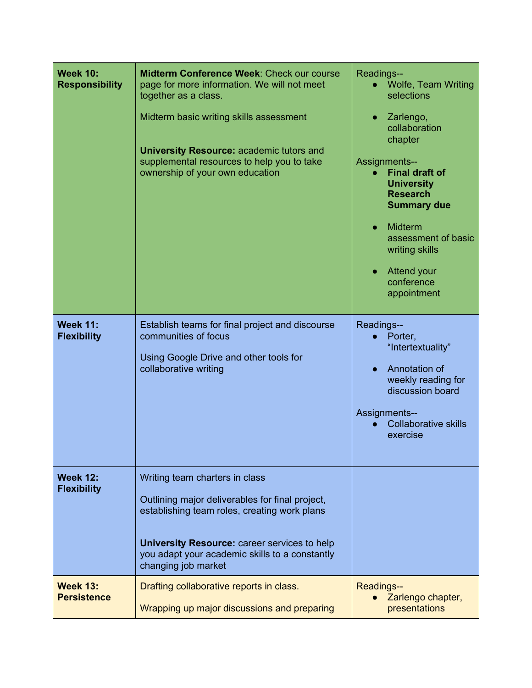| <b>Week 10:</b><br><b>Responsibility</b> | Midterm Conference Week: Check our course<br>page for more information. We will not meet<br>together as a class.<br>Midterm basic writing skills assessment<br><b>University Resource: academic tutors and</b><br>supplemental resources to help you to take<br>ownership of your own education | Readings--<br><b>Wolfe, Team Writing</b><br>selections<br>Zarlengo,<br>$\bullet$<br>collaboration<br>chapter<br><b>Assignments--</b><br><b>Final draft of</b><br>$\bullet$<br><b>University</b><br><b>Research</b><br><b>Summary due</b><br>Midterm<br>assessment of basic<br>writing skills<br><b>Attend your</b><br>conference<br>appointment |
|------------------------------------------|-------------------------------------------------------------------------------------------------------------------------------------------------------------------------------------------------------------------------------------------------------------------------------------------------|-------------------------------------------------------------------------------------------------------------------------------------------------------------------------------------------------------------------------------------------------------------------------------------------------------------------------------------------------|
| <b>Week 11:</b><br><b>Flexibility</b>    | Establish teams for final project and discourse<br>communities of focus<br>Using Google Drive and other tools for<br>collaborative writing                                                                                                                                                      | Readings--<br>Porter,<br>"Intertextuality"<br>Annotation of<br>weekly reading for<br>discussion board<br>Assignments--<br><b>Collaborative skills</b><br>exercise                                                                                                                                                                               |
| <b>Week 12:</b><br><b>Flexibility</b>    | Writing team charters in class<br>Outlining major deliverables for final project,<br>establishing team roles, creating work plans<br><b>University Resource: career services to help</b><br>you adapt your academic skills to a constantly<br>changing job market                               |                                                                                                                                                                                                                                                                                                                                                 |
| <b>Week 13:</b><br><b>Persistence</b>    | Drafting collaborative reports in class.<br>Wrapping up major discussions and preparing                                                                                                                                                                                                         | Readings--<br>Zarlengo chapter,<br>presentations                                                                                                                                                                                                                                                                                                |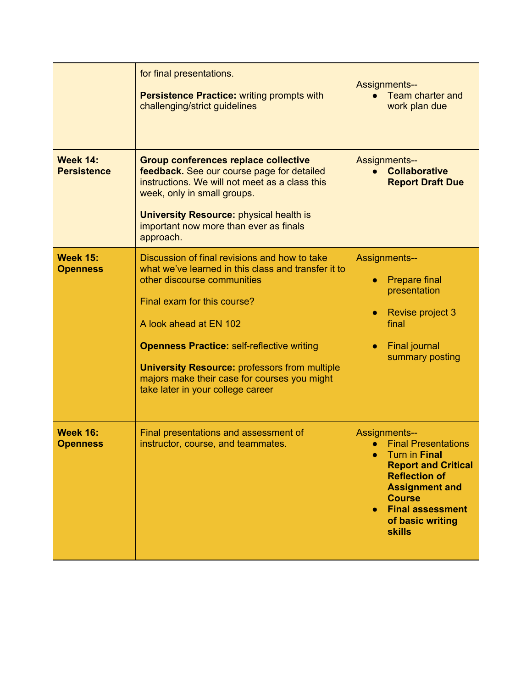|                                       | for final presentations.<br><b>Persistence Practice: writing prompts with</b><br>challenging/strict guidelines                                                                                                                                                                                                                                                                                 | <b>Assignments--</b><br>Team charter and<br>work plan due                                                                                                                                                                           |
|---------------------------------------|------------------------------------------------------------------------------------------------------------------------------------------------------------------------------------------------------------------------------------------------------------------------------------------------------------------------------------------------------------------------------------------------|-------------------------------------------------------------------------------------------------------------------------------------------------------------------------------------------------------------------------------------|
| <b>Week 14:</b><br><b>Persistence</b> | <b>Group conferences replace collective</b><br>feedback. See our course page for detailed<br>instructions. We will not meet as a class this<br>week, only in small groups.<br><b>University Resource: physical health is</b><br>important now more than ever as finals<br>approach.                                                                                                            | <b>Assignments--</b><br><b>Collaborative</b><br><b>Report Draft Due</b>                                                                                                                                                             |
| <b>Week 15:</b><br><b>Openness</b>    | Discussion of final revisions and how to take<br>what we've learned in this class and transfer it to<br>other discourse communities<br>Final exam for this course?<br>A look ahead at EN 102<br><b>Openness Practice: self-reflective writing</b><br><b>University Resource: professors from multiple</b><br>majors make their case for courses you might<br>take later in your college career | <b>Assignments--</b><br><b>Prepare final</b><br>presentation<br>Revise project 3<br>final<br><b>Final journal</b><br>summary posting                                                                                                |
| <b>Week 16:</b><br><b>Openness</b>    | Final presentations and assessment of<br>instructor, course, and teammates.                                                                                                                                                                                                                                                                                                                    | <b>Assignments--</b><br><b>Final Presentations</b><br>Turn in Final<br><b>Report and Critical</b><br><b>Reflection of</b><br><b>Assignment and</b><br><b>Course</b><br><b>Final assessment</b><br>of basic writing<br><b>skills</b> |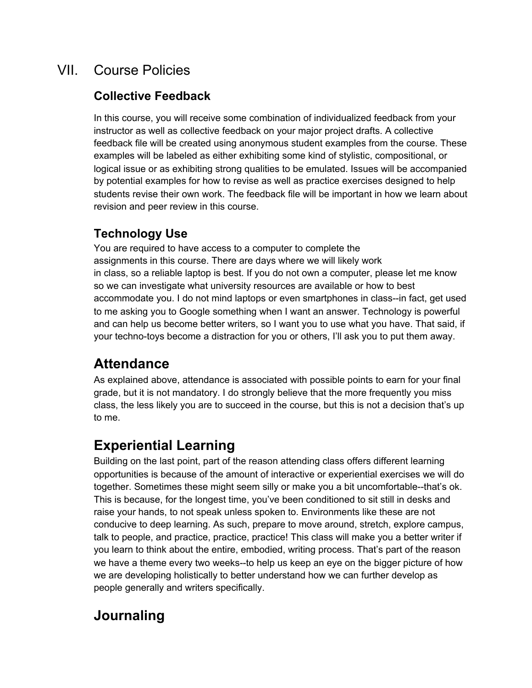# VII. Course Policies

# **Collective Feedback**

In this course, you will receive some combination of individualized feedback from your instructor as well as collective feedback on your major project drafts. A collective feedback file will be created using anonymous student examples from the course. These examples will be labeled as either exhibiting some kind of stylistic, compositional, or logical issue or as exhibiting strong qualities to be emulated. Issues will be accompanied by potential examples for how to revise as well as practice exercises designed to help students revise their own work. The feedback file will be important in how we learn about revision and peer review in this course.

# **Technology Use**

You are required to have access to a computer to complete the assignments in this course. There are days where we will likely work in class, so a reliable laptop is best. If you do not own a computer, please let me know so we can investigate what university resources are available or how to best accommodate you. I do not mind laptops or even smartphones in class--in fact, get used to me asking you to Google something when I want an answer. Technology is powerful and can help us become better writers, so I want you to use what you have. That said, if your techno-toys become a distraction for you or others, I'll ask you to put them away.

# **Attendance**

As explained above, attendance is associated with possible points to earn for your final grade, but it is not mandatory. I do strongly believe that the more frequently you miss class, the less likely you are to succeed in the course, but this is not a decision that's up to me.

# **Experiential Learning**

Building on the last point, part of the reason attending class offers different learning opportunities is because of the amount of interactive or experiential exercises we will do together. Sometimes these might seem silly or make you a bit uncomfortable--that's ok. This is because, for the longest time, you've been conditioned to sit still in desks and raise your hands, to not speak unless spoken to. Environments like these are not conducive to deep learning. As such, prepare to move around, stretch, explore campus, talk to people, and practice, practice, practice! This class will make you a better writer if you learn to think about the entire, embodied, writing process. That's part of the reason we have a theme every two weeks--to help us keep an eye on the bigger picture of how we are developing holistically to better understand how we can further develop as people generally and writers specifically.

# **Journaling**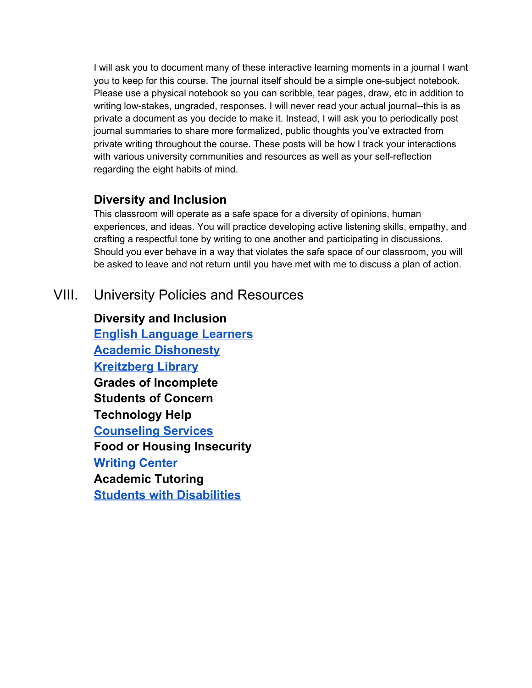I will ask you to document many of these interactive learning moments in a journal I want you to keep for this course. The journal itself should be a simple one-subject notebook. Please use a physical notebook so you can scribble, tear pages, draw, etc in addition to writing low-stakes, ungraded, responses. I will never read your actual journal--this is as private a document as you decide to make it. Instead, I will ask you to periodically post journal summaries to share more formalized, public thoughts you've extracted from private writing throughout the course. These posts will be how I track your interactions with various university communities and resources as well as your self-reflection regarding the eight habits of mind.

### **Diversity and Inclusion**

This classroom will operate as a safe space for a diversity of opinions, human experiences, and ideas. You will practice developing active listening skills, empathy, and crafting a respectful tone by writing to one another and participating in discussions. Should you ever behave in a way that violates the safe space of our classroom, you will be asked to leave and not return until you have met with me to discuss a plan of action.

# VIII. University Policies and Resources

**Diversity and Inclusion English [Language](https://catalog.norwich.edu/residentialprogramscatalog/academicregulations/esl/) Learners Academic [Dishonesty](https://catalog.norwich.edu/residentialprogramscatalog/academicregulations/academicdishonesty/) [Kreitzberg](https://www.norwich.edu/library) Library Grades of Incomplete Students of Concern Technology Help [Counseling](https://www.norwich.edu/counseling) Services Food or Housing Insecurity [Writing](https://www.norwich.edu/writing-center) Center Academic Tutoring Students with [Disabilities](https://catalog.norwich.edu/residentialprogramscatalog/academicregulations/rehabact/)**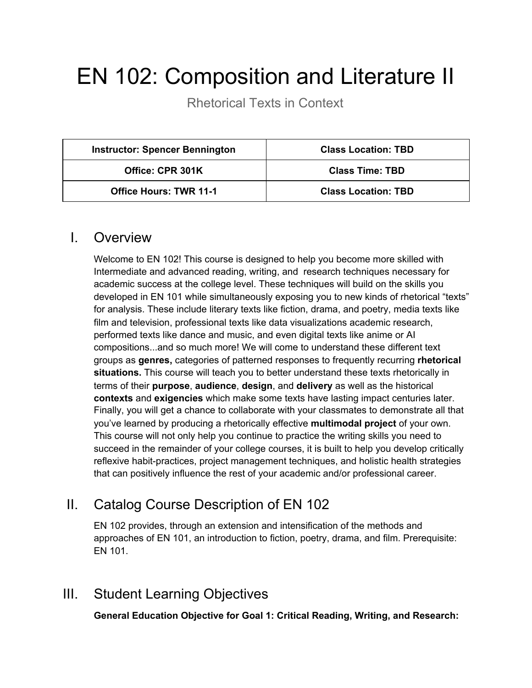# EN 102: Composition and Literature II

Rhetorical Texts in Context

| <b>Instructor: Spencer Bennington</b> | <b>Class Location: TBD</b> |
|---------------------------------------|----------------------------|
| Office: CPR 301K                      | <b>Class Time: TBD</b>     |
| <b>Office Hours: TWR 11-1</b>         | <b>Class Location: TBD</b> |

### I. Overview

Welcome to EN 102! This course is designed to help you become more skilled with Intermediate and advanced reading, writing, and research techniques necessary for academic success at the college level. These techniques will build on the skills you developed in EN 101 while simultaneously exposing you to new kinds of rhetorical "texts" for analysis. These include literary texts like fiction, drama, and poetry, media texts like film and television, professional texts like data visualizations academic research, performed texts like dance and music, and even digital texts like anime or AI compositions...and so much more! We will come to understand these different text groups as **genres,** categories of patterned responses to frequently recurring **rhetorical situations.** This course will teach you to better understand these texts rhetorically in terms of their **purpose**, **audience**, **design**, and **delivery** as well as the historical **contexts** and **exigencies** which make some texts have lasting impact centuries later. Finally, you will get a chance to collaborate with your classmates to demonstrate all that you've learned by producing a rhetorically effective **multimodal project** of your own. This course will not only help you continue to practice the writing skills you need to succeed in the remainder of your college courses, it is built to help you develop critically reflexive habit-practices, project management techniques, and holistic health strategies that can positively influence the rest of your academic and/or professional career.

# II. Catalog Course Description of EN 102

EN 102 provides, through an extension and intensification of the methods and approaches of EN 101, an introduction to fiction, poetry, drama, and film. Prerequisite: EN 101.

# III. Student Learning Objectives

**General Education Objective for Goal 1: Critical Reading, Writing, and Research:**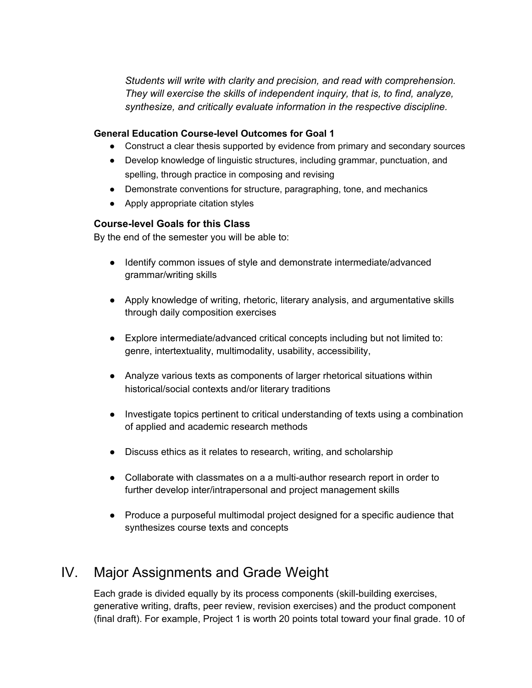*Students will write with clarity and precision, and read with comprehension. They will exercise the skills of independent inquiry, that is, to find, analyze, synthesize, and critically evaluate information in the respective discipline.*

#### **General Education Course-level Outcomes for Goal 1**

- Construct a clear thesis supported by evidence from primary and secondary sources
- Develop knowledge of linguistic structures, including grammar, punctuation, and spelling, through practice in composing and revising
- Demonstrate conventions for structure, paragraphing, tone, and mechanics
- Apply appropriate citation styles

#### **Course-level Goals for this Class**

By the end of the semester you will be able to:

- Identify common issues of style and demonstrate intermediate/advanced grammar/writing skills
- Apply knowledge of writing, rhetoric, literary analysis, and argumentative skills through daily composition exercises
- Explore intermediate/advanced critical concepts including but not limited to: genre, intertextuality, multimodality, usability, accessibility,
- Analyze various texts as components of larger rhetorical situations within historical/social contexts and/or literary traditions
- Investigate topics pertinent to critical understanding of texts using a combination of applied and academic research methods
- Discuss ethics as it relates to research, writing, and scholarship
- Collaborate with classmates on a a multi-author research report in order to further develop inter/intrapersonal and project management skills
- Produce a purposeful multimodal project designed for a specific audience that synthesizes course texts and concepts

# IV. Major Assignments and Grade Weight

Each grade is divided equally by its process components (skill-building exercises, generative writing, drafts, peer review, revision exercises) and the product component (final draft). For example, Project 1 is worth 20 points total toward your final grade. 10 of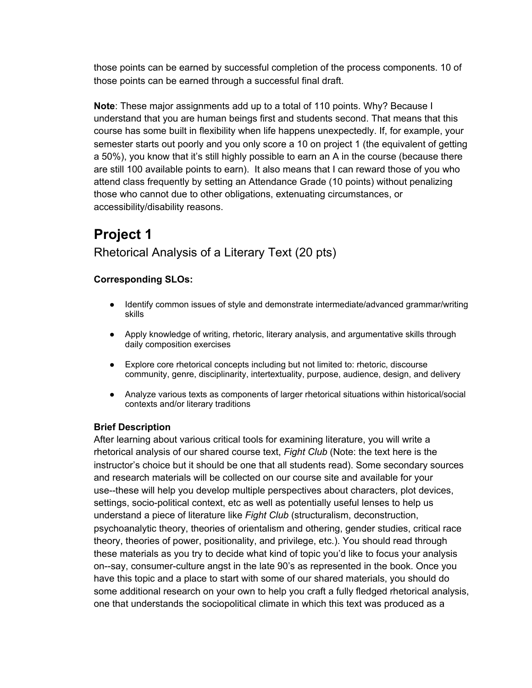those points can be earned by successful completion of the process components. 10 of those points can be earned through a successful final draft.

**Note**: These major assignments add up to a total of 110 points. Why? Because I understand that you are human beings first and students second. That means that this course has some built in flexibility when life happens unexpectedly. If, for example, your semester starts out poorly and you only score a 10 on project 1 (the equivalent of getting a 50%), you know that it's still highly possible to earn an A in the course (because there are still 100 available points to earn). It also means that I can reward those of you who attend class frequently by setting an Attendance Grade (10 points) without penalizing those who cannot due to other obligations, extenuating circumstances, or accessibility/disability reasons.

# **Project 1** Rhetorical Analysis of a Literary Text (20 pts)

### **Corresponding SLOs:**

- Identify common issues of style and demonstrate intermediate/advanced grammar/writing skills
- Apply knowledge of writing, rhetoric, literary analysis, and argumentative skills through daily composition exercises
- Explore core rhetorical concepts including but not limited to: rhetoric, discourse community, genre, disciplinarity, intertextuality, purpose, audience, design, and delivery
- Analyze various texts as components of larger rhetorical situations within historical/social contexts and/or literary traditions

#### **Brief Description**

After learning about various critical tools for examining literature, you will write a rhetorical analysis of our shared course text, *Fight Club* (Note: the text here is the instructor's choice but it should be one that all students read). Some secondary sources and research materials will be collected on our course site and available for your use--these will help you develop multiple perspectives about characters, plot devices, settings, socio-political context, etc as well as potentially useful lenses to help us understand a piece of literature like *Fight Club* (structuralism, deconstruction, psychoanalytic theory, theories of orientalism and othering, gender studies, critical race theory, theories of power, positionality, and privilege, etc.). You should read through these materials as you try to decide what kind of topic you'd like to focus your analysis on--say, consumer-culture angst in the late 90's as represented in the book. Once you have this topic and a place to start with some of our shared materials, you should do some additional research on your own to help you craft a fully fledged rhetorical analysis, one that understands the sociopolitical climate in which this text was produced as a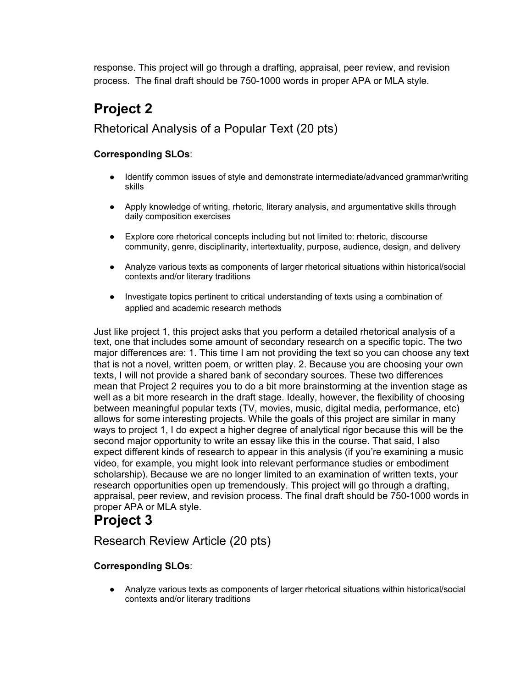response. This project will go through a drafting, appraisal, peer review, and revision process. The final draft should be 750-1000 words in proper APA or MLA style.

# **Project 2**

### Rhetorical Analysis of a Popular Text (20 pts)

### **Corresponding SLOs**:

- Identify common issues of style and demonstrate intermediate/advanced grammar/writing skills
- Apply knowledge of writing, rhetoric, literary analysis, and argumentative skills through daily composition exercises
- Explore core rhetorical concepts including but not limited to: rhetoric, discourse community, genre, disciplinarity, intertextuality, purpose, audience, design, and delivery
- Analyze various texts as components of larger rhetorical situations within historical/social contexts and/or literary traditions
- Investigate topics pertinent to critical understanding of texts using a combination of applied and academic research methods

Just like project 1, this project asks that you perform a detailed rhetorical analysis of a text, one that includes some amount of secondary research on a specific topic. The two major differences are: 1. This time I am not providing the text so you can choose any text that is not a novel, written poem, or written play. 2. Because you are choosing your own texts, I will not provide a shared bank of secondary sources. These two differences mean that Project 2 requires you to do a bit more brainstorming at the invention stage as well as a bit more research in the draft stage. Ideally, however, the flexibility of choosing between meaningful popular texts (TV, movies, music, digital media, performance, etc) allows for some interesting projects. While the goals of this project are similar in many ways to project 1, I do expect a higher degree of analytical rigor because this will be the second major opportunity to write an essay like this in the course. That said, I also expect different kinds of research to appear in this analysis (if you're examining a music video, for example, you might look into relevant performance studies or embodiment scholarship). Because we are no longer limited to an examination of written texts, your research opportunities open up tremendously. This project will go through a drafting, appraisal, peer review, and revision process. The final draft should be 750-1000 words in proper APA or MLA style.

# **Project 3**

Research Review Article (20 pts)

### **Corresponding SLOs**:

● Analyze various texts as components of larger rhetorical situations within historical/social contexts and/or literary traditions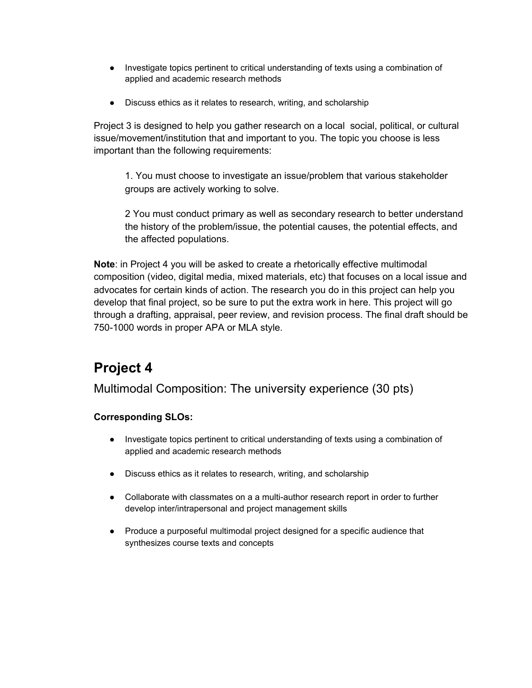- Investigate topics pertinent to critical understanding of texts using a combination of applied and academic research methods
- Discuss ethics as it relates to research, writing, and scholarship

Project 3 is designed to help you gather research on a local social, political, or cultural issue/movement/institution that and important to you. The topic you choose is less important than the following requirements:

1. You must choose to investigate an issue/problem that various stakeholder groups are actively working to solve.

2 You must conduct primary as well as secondary research to better understand the history of the problem/issue, the potential causes, the potential effects, and the affected populations.

**Note**: in Project 4 you will be asked to create a rhetorically effective multimodal composition (video, digital media, mixed materials, etc) that focuses on a local issue and advocates for certain kinds of action. The research you do in this project can help you develop that final project, so be sure to put the extra work in here. This project will go through a drafting, appraisal, peer review, and revision process. The final draft should be 750-1000 words in proper APA or MLA style.

# **Project 4**

Multimodal Composition: The university experience (30 pts)

### **Corresponding SLOs:**

- Investigate topics pertinent to critical understanding of texts using a combination of applied and academic research methods
- Discuss ethics as it relates to research, writing, and scholarship
- Collaborate with classmates on a a multi-author research report in order to further develop inter/intrapersonal and project management skills
- Produce a purposeful multimodal project designed for a specific audience that synthesizes course texts and concepts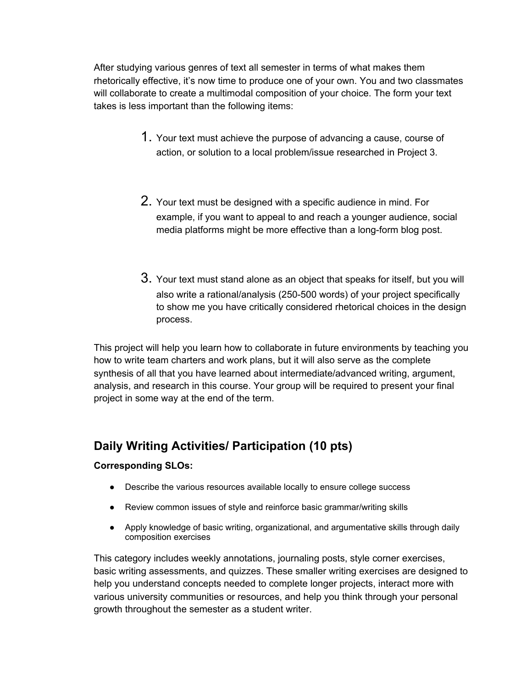After studying various genres of text all semester in terms of what makes them rhetorically effective, it's now time to produce one of your own. You and two classmates will collaborate to create a multimodal composition of your choice. The form your text takes is less important than the following items:

- 1. Your text must achieve the purpose of advancing <sup>a</sup> cause, course of action, or solution to a local problem/issue researched in Project 3.
- 2. Your text must be designed with <sup>a</sup> specific audience in mind. For example, if you want to appeal to and reach a younger audience, social media platforms might be more effective than a long-form blog post.
- 3. Your text must stand alone as an object that speaks for itself, but you will also write a rational/analysis (250-500 words) of your project specifically to show me you have critically considered rhetorical choices in the design process.

This project will help you learn how to collaborate in future environments by teaching you how to write team charters and work plans, but it will also serve as the complete synthesis of all that you have learned about intermediate/advanced writing, argument, analysis, and research in this course. Your group will be required to present your final project in some way at the end of the term.

# **Daily Writing Activities/ Participation (10 pts)**

### **Corresponding SLOs:**

- Describe the various resources available locally to ensure college success
- Review common issues of style and reinforce basic grammar/writing skills
- Apply knowledge of basic writing, organizational, and argumentative skills through daily composition exercises

This category includes weekly annotations, journaling posts, style corner exercises, basic writing assessments, and quizzes. These smaller writing exercises are designed to help you understand concepts needed to complete longer projects, interact more with various university communities or resources, and help you think through your personal growth throughout the semester as a student writer.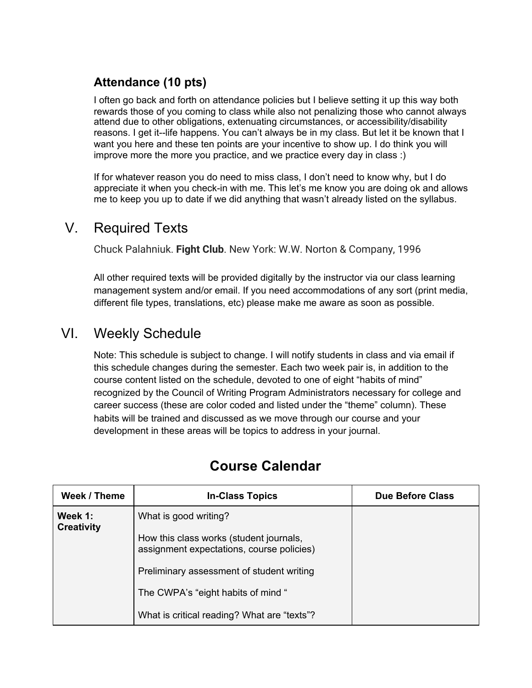# **Attendance (10 pts)**

I often go back and forth on attendance policies but I believe setting it up this way both rewards those of you coming to class while also not penalizing those who cannot always attend due to other obligations, extenuating circumstances, or accessibility/disability reasons. I get it--life happens. You can't always be in my class. But let it be known that I want you here and these ten points are your incentive to show up. I do think you will improve more the more you practice, and we practice every day in class :)

If for whatever reason you do need to miss class, I don't need to know why, but I do appreciate it when you check-in with me. This let's me know you are doing ok and allows me to keep you up to date if we did anything that wasn't already listed on the syllabus.

# V. Required Texts

Chuck Palahniuk. **Fight Club**. New York: W.W. Norton & Company, 1996

All other required texts will be provided digitally by the instructor via our class learning management system and/or email. If you need accommodations of any sort (print media, different file types, translations, etc) please make me aware as soon as possible.

# VI. Weekly Schedule

Note: This schedule is subject to change. I will notify students in class and via email if this schedule changes during the semester. Each two week pair is, in addition to the course content listed on the schedule, devoted to one of eight "habits of mind" recognized by the Council of Writing Program Administrators necessary for college and career success (these are color coded and listed under the "theme" column). These habits will be trained and discussed as we move through our course and your development in these areas will be topics to address in your journal.

| Week / Theme                 | <b>In-Class Topics</b>                                                               | <b>Due Before Class</b> |
|------------------------------|--------------------------------------------------------------------------------------|-------------------------|
| Week 1:<br><b>Creativity</b> | What is good writing?                                                                |                         |
|                              | How this class works (student journals,<br>assignment expectations, course policies) |                         |
|                              | Preliminary assessment of student writing                                            |                         |
|                              | The CWPA's "eight habits of mind"                                                    |                         |
|                              | What is critical reading? What are "texts"?                                          |                         |

# **Course Calendar**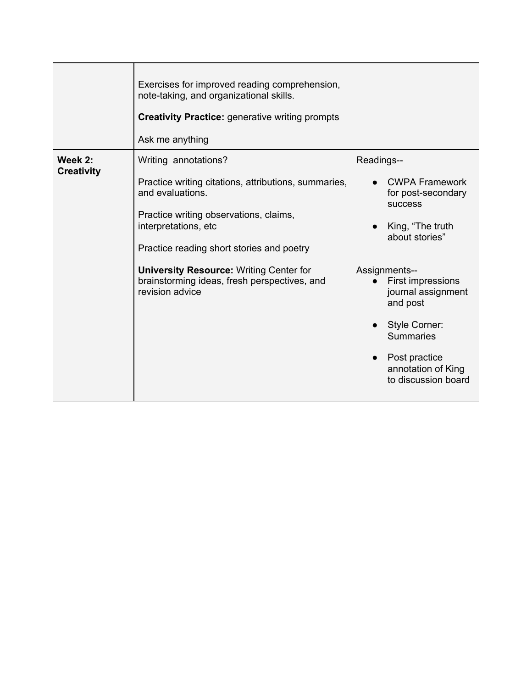|                              | Exercises for improved reading comprehension,<br>note-taking, and organizational skills.<br><b>Creativity Practice: generative writing prompts</b><br>Ask me anything                                                                                                                                                                |                                                                                                                                                                                                                                                                                              |
|------------------------------|--------------------------------------------------------------------------------------------------------------------------------------------------------------------------------------------------------------------------------------------------------------------------------------------------------------------------------------|----------------------------------------------------------------------------------------------------------------------------------------------------------------------------------------------------------------------------------------------------------------------------------------------|
| Week 2:<br><b>Creativity</b> | Writing annotations?<br>Practice writing citations, attributions, summaries,<br>and evaluations.<br>Practice writing observations, claims,<br>interpretations, etc<br>Practice reading short stories and poetry<br><b>University Resource: Writing Center for</b><br>brainstorming ideas, fresh perspectives, and<br>revision advice | Readings--<br><b>CWPA Framework</b><br>for post-secondary<br><b>SUCCESS</b><br>King, "The truth<br>about stories"<br>Assignments--<br>First impressions<br>journal assignment<br>and post<br>Style Corner:<br><b>Summaries</b><br>Post practice<br>annotation of King<br>to discussion board |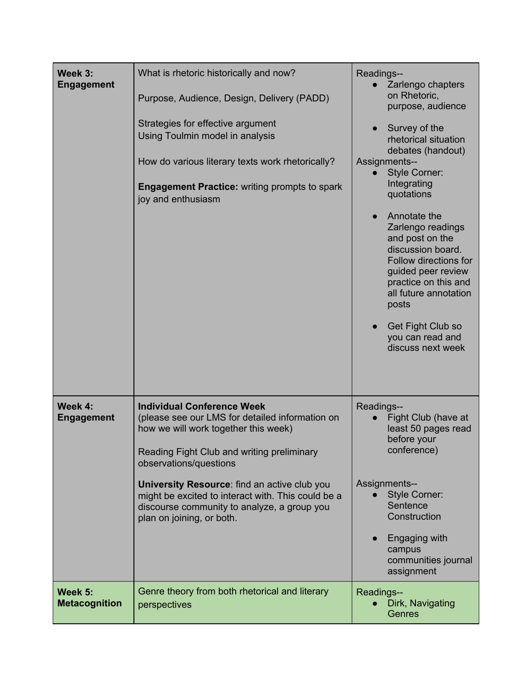| Week 3:<br><b>Engagement</b>    | What is rhetoric historically and now?<br>Purpose, Audience, Design, Delivery (PADD)<br>Strategies for effective argument<br>Using Toulmin model in analysis<br>How do various literary texts work rhetorically?<br><b>Engagement Practice: writing prompts to spark</b><br>joy and enthusiasm                                                                                         | Readings--<br>Zarlengo chapters<br>on Rhetoric,<br>purpose, audience<br>Survey of the<br>rhetorical situation<br>debates (handout)<br>Assignments--<br><b>Style Corner:</b><br>$\bullet$<br>Integrating<br>quotations<br>Annotate the<br>Zarlengo readings<br>and post on the<br>discussion board.<br>Follow directions for<br>guided peer review<br>practice on this and<br>all future annotation<br>posts<br>Get Fight Club so<br>you can read and<br>discuss next week |
|---------------------------------|----------------------------------------------------------------------------------------------------------------------------------------------------------------------------------------------------------------------------------------------------------------------------------------------------------------------------------------------------------------------------------------|---------------------------------------------------------------------------------------------------------------------------------------------------------------------------------------------------------------------------------------------------------------------------------------------------------------------------------------------------------------------------------------------------------------------------------------------------------------------------|
| Week 4:<br><b>Engagement</b>    | <b>Individual Conference Week</b><br>(please see our LMS for detailed information on<br>how we will work together this week)<br>Reading Fight Club and writing preliminary<br>observations/questions<br>University Resource: find an active club you<br>might be excited to interact with. This could be a<br>discourse community to analyze, a group you<br>plan on joining, or both. | Readings--<br>Fight Club (have at<br>$\bullet$<br>least 50 pages read<br>before your<br>conference)<br>Assignments--<br><b>Style Corner:</b><br>Sentence<br>Construction<br>Engaging with<br>$\bullet$<br>campus<br>communities journal<br>assignment                                                                                                                                                                                                                     |
| Week 5:<br><b>Metacognition</b> | Genre theory from both rhetorical and literary<br>perspectives                                                                                                                                                                                                                                                                                                                         | Readings--<br>Dirk, Navigating<br>Genres                                                                                                                                                                                                                                                                                                                                                                                                                                  |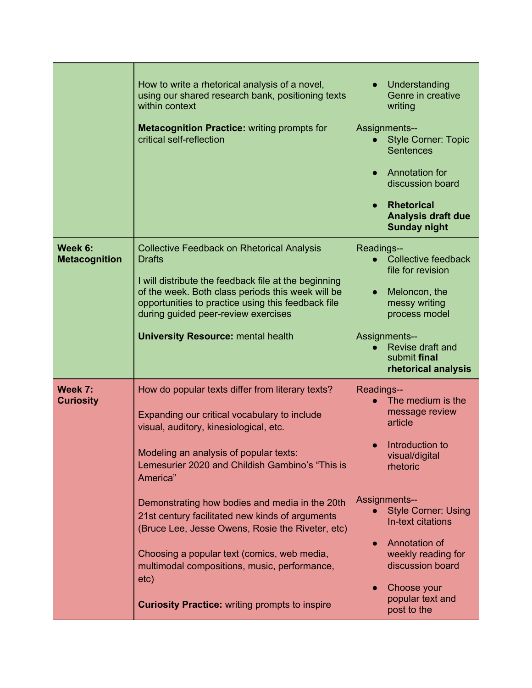|                                 | How to write a rhetorical analysis of a novel,<br>using our shared research bank, positioning texts<br>within context<br><b>Metacognition Practice: writing prompts for</b><br>critical self-reflection                                                                                                                                                                                                                                                                                                                                                                      | Understanding<br>Genre in creative<br>writing<br>Assignments--<br><b>Style Corner: Topic</b><br><b>Sentences</b><br>Annotation for<br>discussion board<br><b>Rhetorical</b><br>Analysis draft due<br><b>Sunday night</b>                                                                              |
|---------------------------------|------------------------------------------------------------------------------------------------------------------------------------------------------------------------------------------------------------------------------------------------------------------------------------------------------------------------------------------------------------------------------------------------------------------------------------------------------------------------------------------------------------------------------------------------------------------------------|-------------------------------------------------------------------------------------------------------------------------------------------------------------------------------------------------------------------------------------------------------------------------------------------------------|
| Week 6:<br><b>Metacognition</b> | <b>Collective Feedback on Rhetorical Analysis</b><br><b>Drafts</b><br>I will distribute the feedback file at the beginning<br>of the week. Both class periods this week will be<br>opportunities to practice using this feedback file<br>during guided peer-review exercises<br><b>University Resource: mental health</b>                                                                                                                                                                                                                                                    | Readings--<br>Collective feedback<br>$\bullet$<br>file for revision<br>Meloncon, the<br>messy writing<br>process model<br><b>Assignments--</b><br>Revise draft and<br>submit final<br>rhetorical analysis                                                                                             |
| Week 7:<br><b>Curiosity</b>     | How do popular texts differ from literary texts?<br>Expanding our critical vocabulary to include<br>visual, auditory, kinesiological, etc.<br>Modeling an analysis of popular texts:<br>Lemesurier 2020 and Childish Gambino's "This is<br>America"<br>Demonstrating how bodies and media in the 20th<br>21st century facilitated new kinds of arguments<br>(Bruce Lee, Jesse Owens, Rosie the Riveter, etc)<br>Choosing a popular text (comics, web media,<br>multimodal compositions, music, performance,<br>etc)<br><b>Curiosity Practice: writing prompts to inspire</b> | Readings--<br>The medium is the<br>message review<br>article<br>Introduction to<br>visual/digital<br>rhetoric<br><b>Assignments--</b><br><b>Style Corner: Using</b><br>In-text citations<br>Annotation of<br>weekly reading for<br>discussion board<br>Choose your<br>popular text and<br>post to the |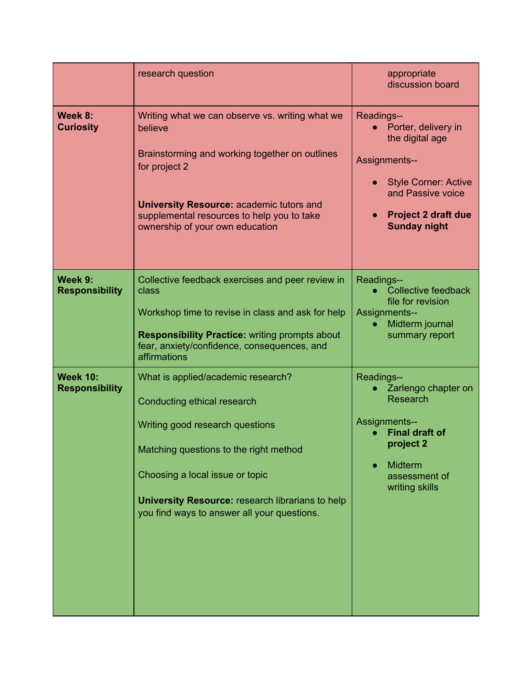|                                          | research question                                                                                                                                                                                                                                                                           | appropriate<br>discussion board                                                                                                                                                |
|------------------------------------------|---------------------------------------------------------------------------------------------------------------------------------------------------------------------------------------------------------------------------------------------------------------------------------------------|--------------------------------------------------------------------------------------------------------------------------------------------------------------------------------|
| Week 8:<br><b>Curiosity</b>              | Writing what we can observe vs. writing what we<br>believe<br>Brainstorming and working together on outlines<br>for project 2<br><b>University Resource: academic tutors and</b><br>supplemental resources to help you to take<br>ownership of your own education                           | Readings--<br>Porter, delivery in<br>the digital age<br>Assignments--<br><b>Style Corner: Active</b><br>and Passive voice<br><b>Project 2 draft due</b><br><b>Sunday night</b> |
| Week 9:<br><b>Responsibility</b>         | Collective feedback exercises and peer review in<br>class<br>Workshop time to revise in class and ask for help<br><b>Responsibility Practice: writing prompts about</b><br>fear, anxiety/confidence, consequences, and<br>affirmations                                                      | Readings--<br><b>Collective feedback</b><br>file for revision<br><b>Assignments--</b><br>Midterm journal<br>$\bullet$<br>summary report                                        |
| <b>Week 10:</b><br><b>Responsibility</b> | What is applied/academic research?<br>Conducting ethical research<br>Writing good research questions<br>Matching questions to the right method<br>Choosing a local issue or topic<br><b>University Resource: research librarians to help</b><br>you find ways to answer all your questions. | Readings--<br>Zarlengo chapter on<br><b>Research</b><br><b>Assignments--</b><br><b>Final draft of</b><br>project 2<br><b>Midterm</b><br>assessment of<br>writing skills        |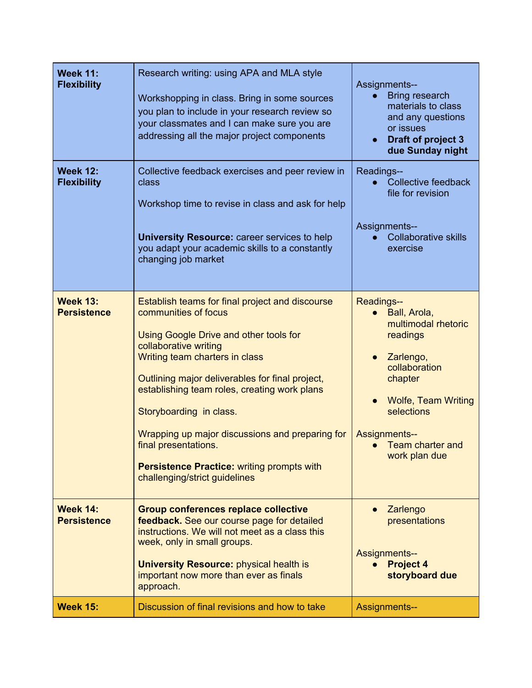| <b>Week 11:</b><br><b>Flexibility</b> | Research writing: using APA and MLA style<br>Workshopping in class. Bring in some sources<br>you plan to include in your research review so<br>your classmates and I can make sure you are<br>addressing all the major project components                                                                                                                                                                                                                                   | <b>Assignments--</b><br><b>Bring research</b><br>$\bullet$<br>materials to class<br>and any questions<br>or issues<br>Draft of project 3<br>due Sunday night                                                                 |
|---------------------------------------|-----------------------------------------------------------------------------------------------------------------------------------------------------------------------------------------------------------------------------------------------------------------------------------------------------------------------------------------------------------------------------------------------------------------------------------------------------------------------------|------------------------------------------------------------------------------------------------------------------------------------------------------------------------------------------------------------------------------|
| <b>Week 12:</b><br><b>Flexibility</b> | Collective feedback exercises and peer review in<br>class<br>Workshop time to revise in class and ask for help<br><b>University Resource: career services to help</b><br>you adapt your academic skills to a constantly<br>changing job market                                                                                                                                                                                                                              | Readings--<br><b>Collective feedback</b><br>file for revision<br>Assignments--<br><b>Collaborative skills</b><br>$\bullet$<br>exercise                                                                                       |
| <b>Week 13:</b><br><b>Persistence</b> | Establish teams for final project and discourse<br>communities of focus<br>Using Google Drive and other tools for<br>collaborative writing<br>Writing team charters in class<br>Outlining major deliverables for final project,<br>establishing team roles, creating work plans<br>Storyboarding in class.<br>Wrapping up major discussions and preparing for<br>final presentations.<br><b>Persistence Practice: writing prompts with</b><br>challenging/strict guidelines | Readings--<br>Ball, Arola,<br>multimodal rhetoric<br>readings<br>Zarlengo,<br>collaboration<br>chapter<br><b>Wolfe, Team Writing</b><br>selections<br><b>Assignments--</b><br>Team charter and<br>$\bullet$<br>work plan due |
| <b>Week 14:</b><br><b>Persistence</b> | <b>Group conferences replace collective</b><br>feedback. See our course page for detailed<br>instructions. We will not meet as a class this<br>week, only in small groups.<br><b>University Resource: physical health is</b><br>important now more than ever as finals<br>approach.                                                                                                                                                                                         | Zarlengo<br>$\bullet$<br>presentations<br><b>Assignments--</b><br><b>Project 4</b><br>$\bullet$<br>storyboard due                                                                                                            |
| <b>Week 15:</b>                       | Discussion of final revisions and how to take                                                                                                                                                                                                                                                                                                                                                                                                                               | <b>Assignments--</b>                                                                                                                                                                                                         |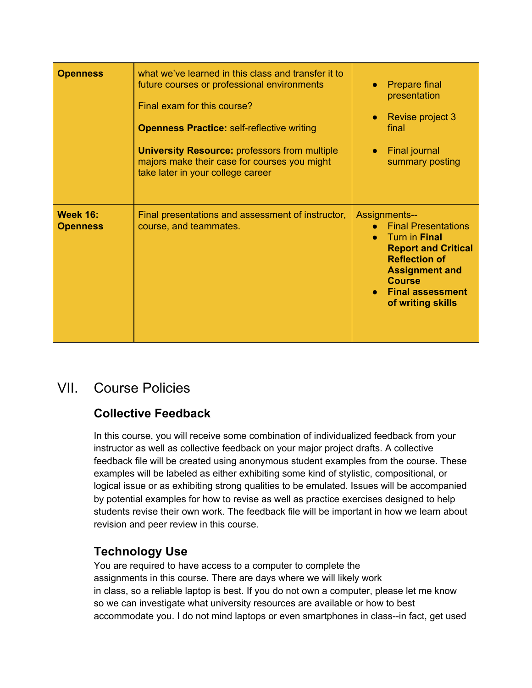| <b>Openness</b>                    | what we've learned in this class and transfer it to<br>future courses or professional environments<br>Final exam for this course?<br><b>Openness Practice: self-reflective writing</b><br><b>University Resource: professors from multiple</b><br>majors make their case for courses you might<br>take later in your college career | <b>Prepare final</b><br>presentation<br>Revise project 3<br>final<br><b>Final journal</b><br>summary posting                                                                                                        |
|------------------------------------|-------------------------------------------------------------------------------------------------------------------------------------------------------------------------------------------------------------------------------------------------------------------------------------------------------------------------------------|---------------------------------------------------------------------------------------------------------------------------------------------------------------------------------------------------------------------|
| <b>Week 16:</b><br><b>Openness</b> | Final presentations and assessment of instructor,<br>course, and teammates.                                                                                                                                                                                                                                                         | <b>Assignments--</b><br><b>Final Presentations</b><br>Turn in Final<br><b>Report and Critical</b><br><b>Reflection of</b><br><b>Assignment and</b><br><b>Course</b><br><b>Final assessment</b><br>of writing skills |

# VII. Course Policies

# **Collective Feedback**

In this course, you will receive some combination of individualized feedback from your instructor as well as collective feedback on your major project drafts. A collective feedback file will be created using anonymous student examples from the course. These examples will be labeled as either exhibiting some kind of stylistic, compositional, or logical issue or as exhibiting strong qualities to be emulated. Issues will be accompanied by potential examples for how to revise as well as practice exercises designed to help students revise their own work. The feedback file will be important in how we learn about revision and peer review in this course.

# **Technology Use**

You are required to have access to a computer to complete the assignments in this course. There are days where we will likely work in class, so a reliable laptop is best. If you do not own a computer, please let me know so we can investigate what university resources are available or how to best accommodate you. I do not mind laptops or even smartphones in class--in fact, get used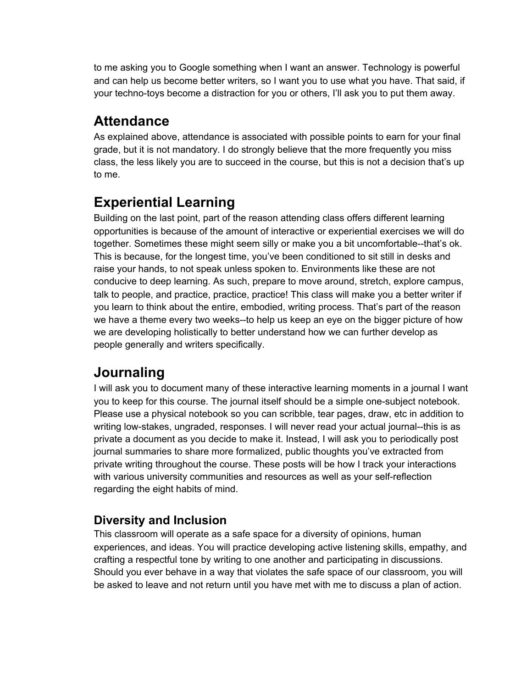to me asking you to Google something when I want an answer. Technology is powerful and can help us become better writers, so I want you to use what you have. That said, if your techno-toys become a distraction for you or others, I'll ask you to put them away.

# **Attendance**

As explained above, attendance is associated with possible points to earn for your final grade, but it is not mandatory. I do strongly believe that the more frequently you miss class, the less likely you are to succeed in the course, but this is not a decision that's up to me.

# **Experiential Learning**

Building on the last point, part of the reason attending class offers different learning opportunities is because of the amount of interactive or experiential exercises we will do together. Sometimes these might seem silly or make you a bit uncomfortable--that's ok. This is because, for the longest time, you've been conditioned to sit still in desks and raise your hands, to not speak unless spoken to. Environments like these are not conducive to deep learning. As such, prepare to move around, stretch, explore campus, talk to people, and practice, practice, practice! This class will make you a better writer if you learn to think about the entire, embodied, writing process. That's part of the reason we have a theme every two weeks--to help us keep an eye on the bigger picture of how we are developing holistically to better understand how we can further develop as people generally and writers specifically.

# **Journaling**

I will ask you to document many of these interactive learning moments in a journal I want you to keep for this course. The journal itself should be a simple one-subject notebook. Please use a physical notebook so you can scribble, tear pages, draw, etc in addition to writing low-stakes, ungraded, responses. I will never read your actual journal--this is as private a document as you decide to make it. Instead, I will ask you to periodically post journal summaries to share more formalized, public thoughts you've extracted from private writing throughout the course. These posts will be how I track your interactions with various university communities and resources as well as your self-reflection regarding the eight habits of mind.

# **Diversity and Inclusion**

This classroom will operate as a safe space for a diversity of opinions, human experiences, and ideas. You will practice developing active listening skills, empathy, and crafting a respectful tone by writing to one another and participating in discussions. Should you ever behave in a way that violates the safe space of our classroom, you will be asked to leave and not return until you have met with me to discuss a plan of action.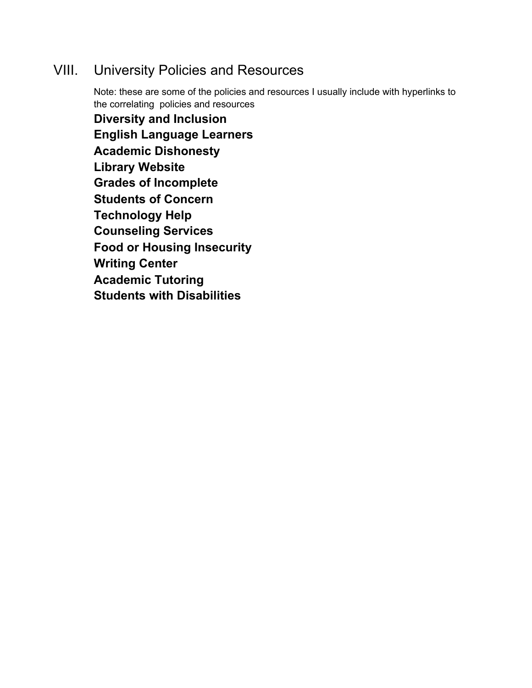# VIII. University Policies and Resources

Note: these are some of the policies and resources I usually include with hyperlinks to the correlating policies and resources **Diversity and Inclusion English Language Learners Academic Dishonesty Library Website Grades of Incomplete Students of Concern Technology Help Counseling Services Food or Housing Insecurity Writing Center Academic Tutoring**

**Students with Disabilities**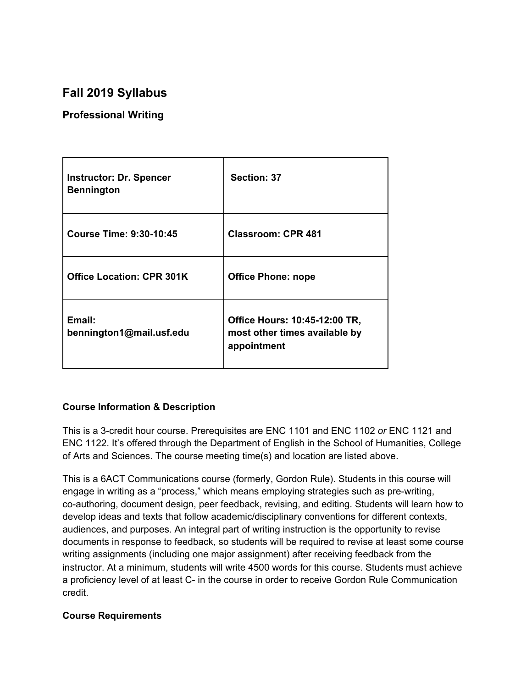# **Fall 2019 Syllabus**

### **Professional Writing**

| <b>Instructor: Dr. Spencer</b><br><b>Bennington</b> | Section: 37                                                                   |
|-----------------------------------------------------|-------------------------------------------------------------------------------|
| Course Time: 9:30-10:45                             | <b>Classroom: CPR 481</b>                                                     |
| <b>Office Location: CPR 301K</b>                    | <b>Office Phone: nope</b>                                                     |
| Email:<br>bennington1@mail.usf.edu                  | Office Hours: 10:45-12:00 TR,<br>most other times available by<br>appointment |

### **Course Information & Description**

This is a 3-credit hour course. Prerequisites are ENC 1101 and ENC 1102 *or* ENC 1121 and ENC 1122. It's offered through the Department of English in the School of Humanities, College of Arts and Sciences. The course meeting time(s) and location are listed above.

This is a 6ACT Communications course (formerly, Gordon Rule). Students in this course will engage in writing as a "process," which means employing strategies such as pre-writing, co-authoring, document design, peer feedback, revising, and editing. Students will learn how to develop ideas and texts that follow academic/disciplinary conventions for different contexts, audiences, and purposes. An integral part of writing instruction is the opportunity to revise documents in response to feedback, so students will be required to revise at least some course writing assignments (including one major assignment) after receiving feedback from the instructor. At a minimum, students will write 4500 words for this course. Students must achieve a proficiency level of at least C- in the course in order to receive Gordon Rule Communication credit.

### **Course Requirements**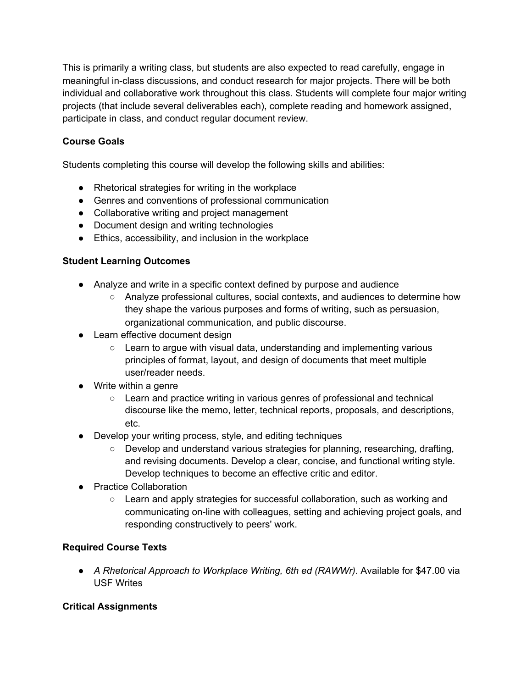This is primarily a writing class, but students are also expected to read carefully, engage in meaningful in-class discussions, and conduct research for major projects. There will be both individual and collaborative work throughout this class. Students will complete four major writing projects (that include several deliverables each), complete reading and homework assigned, participate in class, and conduct regular document review.

### **Course Goals**

Students completing this course will develop the following skills and abilities:

- Rhetorical strategies for writing in the workplace
- Genres and conventions of professional communication
- Collaborative writing and project management
- Document design and writing technologies
- Ethics, accessibility, and inclusion in the workplace

### **Student Learning Outcomes**

- Analyze and write in a specific context defined by purpose and audience
	- Analyze professional cultures, social contexts, and audiences to determine how they shape the various purposes and forms of writing, such as persuasion, organizational communication, and public discourse.
- Learn effective document design
	- Learn to argue with visual data, understanding and implementing various principles of format, layout, and design of documents that meet multiple user/reader needs.
- Write within a genre
	- Learn and practice writing in various genres of professional and technical discourse like the memo, letter, technical reports, proposals, and descriptions, etc.
- Develop your writing process, style, and editing techniques
	- Develop and understand various strategies for planning, researching, drafting, and revising documents. Develop a clear, concise, and functional writing style. Develop techniques to become an effective critic and editor.
- Practice Collaboration
	- Learn and apply strategies for successful collaboration, such as working and communicating on-line with colleagues, setting and achieving project goals, and responding constructively to peers' work.

### **Required Course Texts**

● *A Rhetorical Approach to Workplace Writing, 6th ed (RAWWr)*. Available for \$47.00 via USF Writes

### **Critical Assignments**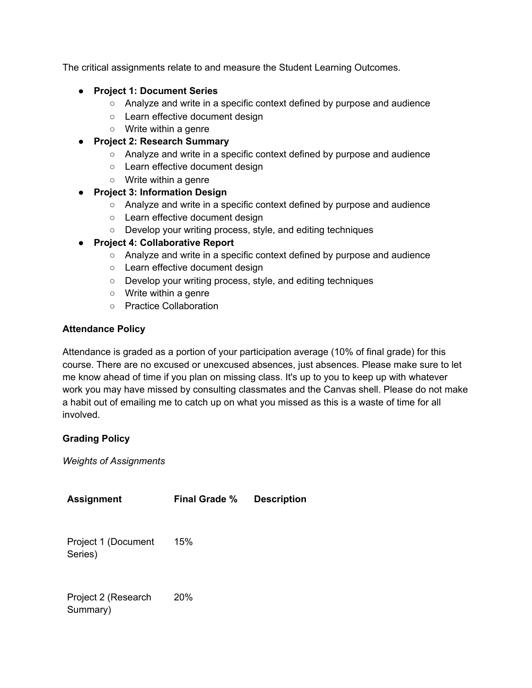The critical assignments relate to and measure the Student Learning Outcomes.

- **Project 1: Document Series**
	- Analyze and write in a specific context defined by purpose and audience
	- Learn effective document design
	- Write within a genre
- **Project 2: Research Summary**
	- Analyze and write in a specific context defined by purpose and audience
	- Learn effective document design
	- Write within a genre
- **Project 3: Information Design**
	- Analyze and write in a specific context defined by purpose and audience
	- Learn effective document design
	- Develop your writing process, style, and editing techniques

#### ● **Project 4: Collaborative Report**

- Analyze and write in a specific context defined by purpose and audience
- Learn effective document design
- Develop your writing process, style, and editing techniques
- Write within a genre
- Practice Collaboration

#### **Attendance Policy**

Attendance is graded as a portion of your participation average (10% of final grade) for this course. There are no excused or unexcused absences, just absences. Please make sure to let me know ahead of time if you plan on missing class. It's up to you to keep up with whatever work you may have missed by consulting classmates and the Canvas shell. Please do not make a habit out of emailing me to catch up on what you missed as this is a waste of time for all involved.

### **Grading Policy**

*Weights of Assignments*

**Assignment Final Grade % Description** Project 1 (Document Series) 15% Project 2 (Research Summary) 20%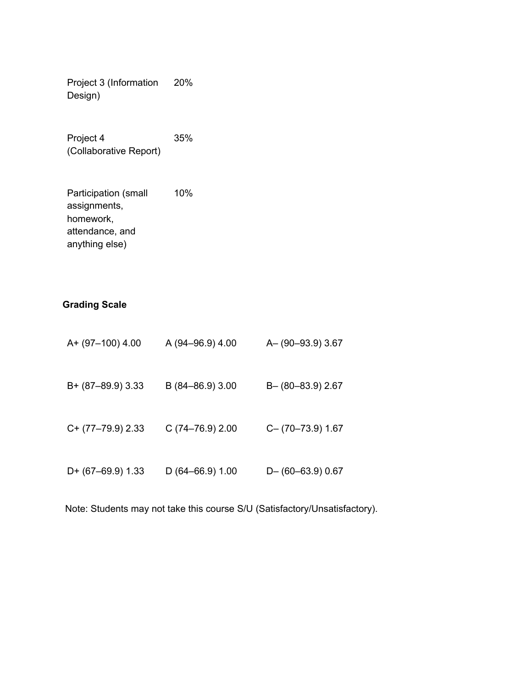Project 3 (Information Design) 20%

Project 4 (Collaborative Report) 35%

Participation (small assignments, homework, attendance, and anything else) 10%

### **Grading Scale**

| A+ (97-100) 4.00    | A (94-96.9) 4.00 | A-(90-93.9) 3.67       |
|---------------------|------------------|------------------------|
| B+ (87-89.9) 3.33   | B (84-86.9) 3.00 | B-(80-83.9) 2.67       |
| $C+$ (77-79.9) 2.33 | C(74–76.9) 2.00  | $C - (70 - 73.9)$ 1.67 |
| $D+$ (67-69.9) 1.33 | D (64–66.9) 1.00 | $D-$ (60-63.9) 0.67    |

Note: Students may not take this course S/U (Satisfactory/Unsatisfactory).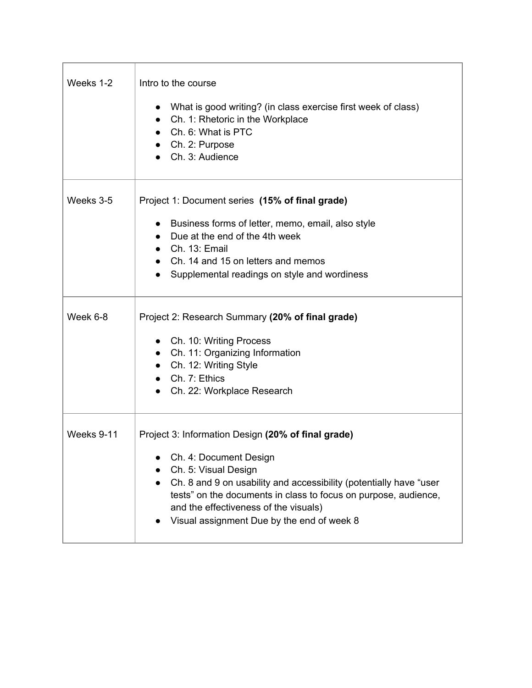| Weeks 1-2  | Intro to the course<br>What is good writing? (in class exercise first week of class)<br>• Ch. 1: Rhetoric in the Workplace<br>$\bullet$ Ch. 6: What is PTC<br>Ch. 2: Purpose<br>Ch. 3: Audience                                                                                                                                      |
|------------|--------------------------------------------------------------------------------------------------------------------------------------------------------------------------------------------------------------------------------------------------------------------------------------------------------------------------------------|
| Weeks 3-5  | Project 1: Document series (15% of final grade)<br>• Business forms of letter, memo, email, also style<br>• Due at the end of the 4th week<br>$\bullet$ Ch. 13: Email<br>• Ch. 14 and 15 on letters and memos<br>• Supplemental readings on style and wordiness                                                                      |
| Week 6-8   | Project 2: Research Summary (20% of final grade)<br>• Ch. 10: Writing Process<br>• Ch. 11: Organizing Information<br>• Ch. 12: Writing Style<br>$\bullet$ Ch. 7: Ethics<br>• Ch. 22: Workplace Research                                                                                                                              |
| Weeks 9-11 | Project 3: Information Design (20% of final grade)<br>Ch. 4: Document Design<br>Ch. 5: Visual Design<br>Ch. 8 and 9 on usability and accessibility (potentially have "user<br>tests" on the documents in class to focus on purpose, audience,<br>and the effectiveness of the visuals)<br>Visual assignment Due by the end of week 8 |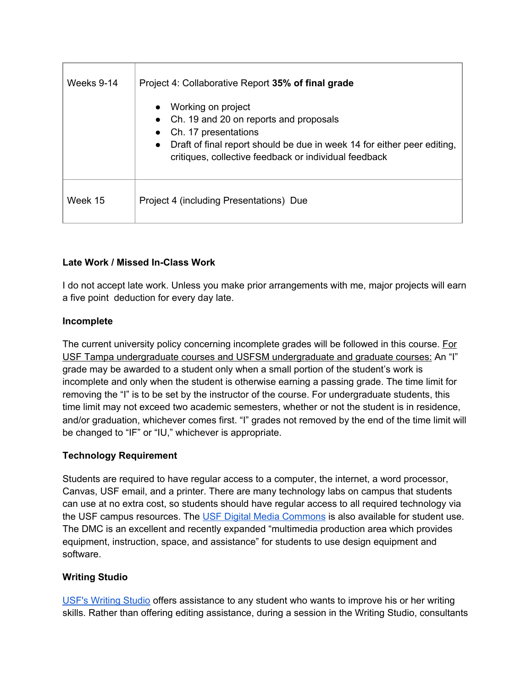| Weeks 9-14 | Project 4: Collaborative Report 35% of final grade                                                                                            |  |
|------------|-----------------------------------------------------------------------------------------------------------------------------------------------|--|
|            | Working on project<br>$\bullet$                                                                                                               |  |
|            | Ch. 19 and 20 on reports and proposals<br>Ch. 17 presentations                                                                                |  |
|            | Draft of final report should be due in week 14 for either peer editing,<br>$\bullet$<br>critiques, collective feedback or individual feedback |  |
| Week 15    | Project 4 (including Presentations) Due                                                                                                       |  |

### **Late Work / Missed In-Class Work**

I do not accept late work. Unless you make prior arrangements with me, major projects will earn a five point deduction for every day late.

### **Incomplete**

The current university policy concerning incomplete grades will be followed in this course. For USF Tampa undergraduate courses and USFSM undergraduate and graduate courses: An "I" grade may be awarded to a student only when a small portion of the student's work is incomplete and only when the student is otherwise earning a passing grade. The time limit for removing the "I" is to be set by the instructor of the course. For undergraduate students, this time limit may not exceed two academic semesters, whether or not the student is in residence, and/or graduation, whichever comes first. "I" grades not removed by the end of the time limit will be changed to "IF" or "IU," whichever is appropriate.

### **Technology Requirement**

Students are required to have regular access to a computer, the internet, a word processor, Canvas, USF email, and a printer. There are many technology labs on campus that students can use at no extra cost, so students should have regular access to all required technology via the USF campus resources. The USF Digital Media [Commons](http://www.lib.usf.edu/dmc/) is also available for student use. The DMC is an excellent and recently expanded "multimedia production area which provides equipment, instruction, space, and assistance" for students to use design equipment and software.

### **Writing Studio**

USF's [Writing](http://www.lib.usf.edu/writing/) Studio offers assistance to any student who wants to improve his or her writing skills. Rather than offering editing assistance, during a session in the Writing Studio, consultants